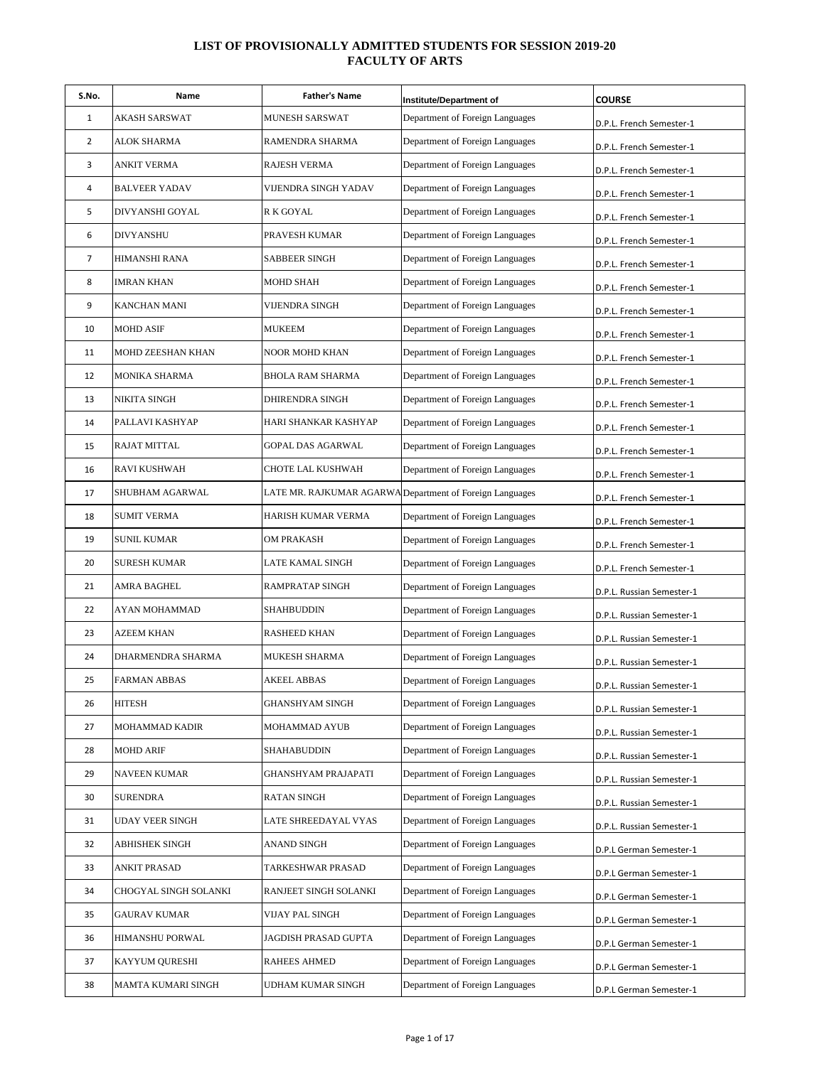| S.No.          | Name                  | <b>Father's Name</b>    | Institute/Department of                                  | <b>COURSE</b>             |
|----------------|-----------------------|-------------------------|----------------------------------------------------------|---------------------------|
| 1              | AKASH SARSWAT         | MUNESH SARSWAT          | Department of Foreign Languages                          | D.P.L. French Semester-1  |
| 2              | ALOK SHARMA           | RAMENDRA SHARMA         | Department of Foreign Languages                          | D.P.L. French Semester-1  |
| 3              | ANKIT VERMA           | RAJESH VERMA            | Department of Foreign Languages                          | D.P.L. French Semester-1  |
| 4              | <b>BALVEER YADAV</b>  | VIJENDRA SINGH YADAV    | Department of Foreign Languages                          | D.P.L. French Semester-1  |
| 5              | DIVYANSHI GOYAL       | R K GOYAL               | Department of Foreign Languages                          | D.P.L. French Semester-1  |
| 6              | <b>DIVYANSHU</b>      | PRAVESH KUMAR           | Department of Foreign Languages                          | D.P.L. French Semester-1  |
| $\overline{7}$ | HIMANSHI RANA         | <b>SABBEER SINGH</b>    | Department of Foreign Languages                          | D.P.L. French Semester-1  |
| 8              | <b>IMRAN KHAN</b>     | MOHD SHAH               | Department of Foreign Languages                          | D.P.L. French Semester-1  |
| 9              | KANCHAN MANI          | VIJENDRA SINGH          | Department of Foreign Languages                          | D.P.L. French Semester-1  |
| 10             | <b>MOHD ASIF</b>      | <b>MUKEEM</b>           | Department of Foreign Languages                          | D.P.L. French Semester-1  |
| 11             | MOHD ZEESHAN KHAN     | NOOR MOHD KHAN          | Department of Foreign Languages                          | D.P.L. French Semester-1  |
| 12             | MONIKA SHARMA         | <b>BHOLA RAM SHARMA</b> | Department of Foreign Languages                          | D.P.L. French Semester-1  |
| 13             | NIKITA SINGH          | DHIRENDRA SINGH         | Department of Foreign Languages                          | D.P.L. French Semester-1  |
| 14             | PALLAVI KASHYAP       | HARI SHANKAR KASHYAP    | Department of Foreign Languages                          | D.P.L. French Semester-1  |
| 15             | RAJAT MITTAL          | GOPAL DAS AGARWAL       | Department of Foreign Languages                          | D.P.L. French Semester-1  |
| 16             | RAVI KUSHWAH          | CHOTE LAL KUSHWAH       | Department of Foreign Languages                          | D.P.L. French Semester-1  |
| 17             | SHUBHAM AGARWAL       |                         | LATE MR. RAJKUMAR AGARWA Department of Foreign Languages | D.P.L. French Semester-1  |
| 18             | <b>SUMIT VERMA</b>    | HARISH KUMAR VERMA      | Department of Foreign Languages                          | D.P.L. French Semester-1  |
| 19             | <b>SUNIL KUMAR</b>    | OM PRAKASH              | Department of Foreign Languages                          | D.P.L. French Semester-1  |
| 20             | <b>SURESH KUMAR</b>   | LATE KAMAL SINGH        | Department of Foreign Languages                          | D.P.L. French Semester-1  |
| 21             | AMRA BAGHEL           | RAMPRATAP SINGH         | Department of Foreign Languages                          | D.P.L. Russian Semester-1 |
| 22             | AYAN MOHAMMAD         | SHAHBUDDIN              | Department of Foreign Languages                          | D.P.L. Russian Semester-1 |
| 23             | AZEEM KHAN            | RASHEED KHAN            | Department of Foreign Languages                          | D.P.L. Russian Semester-1 |
| 24             | DHARMENDRA SHARMA     | MUKESH SHARMA           | Department of Foreign Languages                          | D.P.L. Russian Semester-1 |
| 25             | <b>FARMAN ABBAS</b>   | <b>AKEEL ABBAS</b>      | Department of Foreign Languages                          | D.P.L. Russian Semester-1 |
| 26             | <b>HITESH</b>         | GHANSHYAM SINGH         | Department of Foreign Languages                          | D.P.L. Russian Semester-1 |
| 27             | MOHAMMAD KADIR        | MOHAMMAD AYUB           | Department of Foreign Languages                          | D.P.L. Russian Semester-1 |
| 28             | <b>MOHD ARIF</b>      | SHAHABUDDIN             | Department of Foreign Languages                          | D.P.L. Russian Semester-1 |
| 29             | NAVEEN KUMAR          | GHANSHYAM PRAJAPATI     | Department of Foreign Languages                          | D.P.L. Russian Semester-1 |
| 30             | SURENDRA              | RATAN SINGH             | Department of Foreign Languages                          | D.P.L. Russian Semester-1 |
| 31             | UDAY VEER SINGH       | LATE SHREEDAYAL VYAS    | Department of Foreign Languages                          | D.P.L. Russian Semester-1 |
| 32             | ABHISHEK SINGH        | ANAND SINGH             | Department of Foreign Languages                          | D.P.L German Semester-1   |
| 33             | ANKIT PRASAD          | TARKESHWAR PRASAD       | Department of Foreign Languages                          | D.P.L German Semester-1   |
| 34             | CHOGYAL SINGH SOLANKI | RANJEET SINGH SOLANKI   | Department of Foreign Languages                          | D.P.L German Semester-1   |
| 35             | GAURAV KUMAR          | VIJAY PAL SINGH         | Department of Foreign Languages                          | D.P.L German Semester-1   |
| 36             | HIMANSHU PORWAL       | JAGDISH PRASAD GUPTA    | Department of Foreign Languages                          | D.P.L German Semester-1   |
| 37             | KAYYUM QURESHI        | RAHEES AHMED            | Department of Foreign Languages                          | D.P.L German Semester-1   |
| 38             | MAMTA KUMARI SINGH    | UDHAM KUMAR SINGH       | Department of Foreign Languages                          | D.P.L German Semester-1   |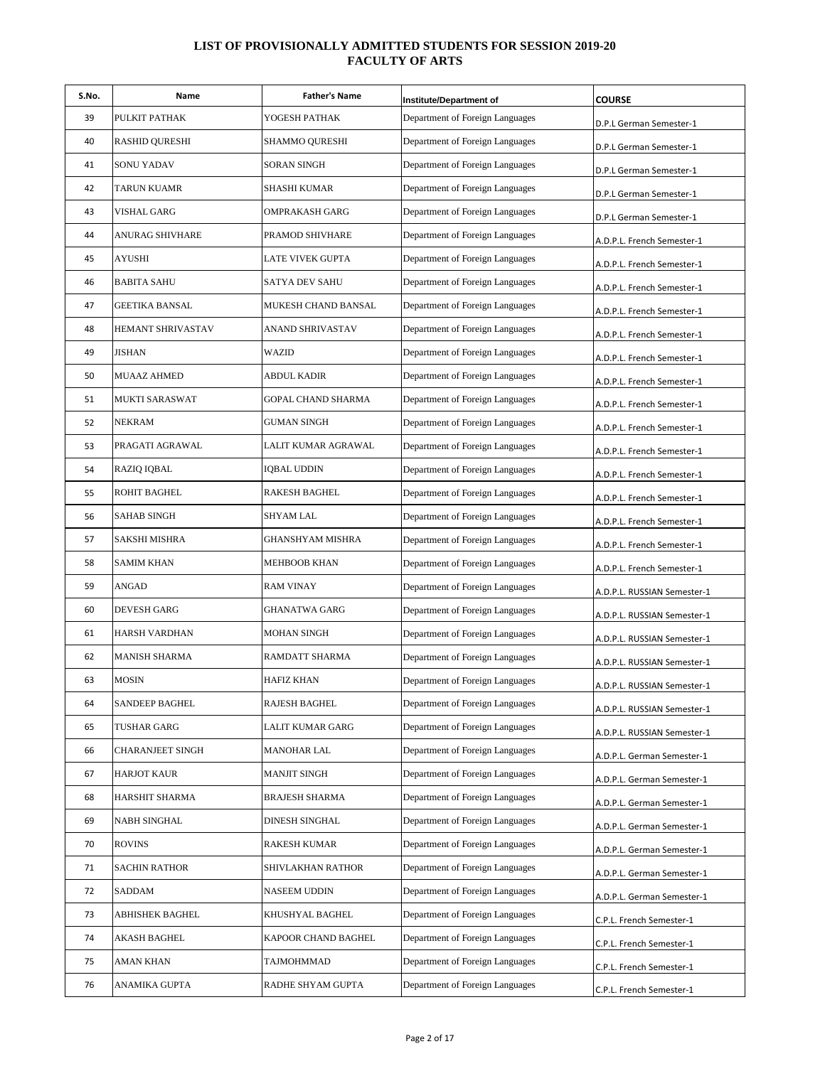| S.No. | Name                  | <b>Father's Name</b> | <b>Institute/Department of</b>  | <b>COURSE</b>               |
|-------|-----------------------|----------------------|---------------------------------|-----------------------------|
| 39    | PULKIT PATHAK         | YOGESH PATHAK        | Department of Foreign Languages | D.P.L German Semester-1     |
| 40    | RASHID QURESHI        | SHAMMO QURESHI       | Department of Foreign Languages | D.P.L German Semester-1     |
| 41    | SONU YADAV            | SORAN SINGH          | Department of Foreign Languages | D.P.L German Semester-1     |
| 42    | TARUN KUAMR           | SHASHI KUMAR         | Department of Foreign Languages | D.P.L German Semester-1     |
| 43    | VISHAL GARG           | OMPRAKASH GARG       | Department of Foreign Languages | D.P.L German Semester-1     |
| 44    | ANURAG SHIVHARE       | PRAMOD SHIVHARE      | Department of Foreign Languages | A.D.P.L. French Semester-1  |
| 45    | AYUSHI                | LATE VIVEK GUPTA     | Department of Foreign Languages | A.D.P.L. French Semester-1  |
| 46    | <b>BABITA SAHU</b>    | SATYA DEV SAHU       | Department of Foreign Languages | A.D.P.L. French Semester-1  |
| 47    | <b>GEETIKA BANSAL</b> | MUKESH CHAND BANSAL  | Department of Foreign Languages | A.D.P.L. French Semester-1  |
| 48    | HEMANT SHRIVASTAV     | ANAND SHRIVASTAV     | Department of Foreign Languages | A.D.P.L. French Semester-1  |
| 49    | JISHAN                | WAZID                | Department of Foreign Languages | A.D.P.L. French Semester-1  |
| 50    | <b>MUAAZ AHMED</b>    | <b>ABDUL KADIR</b>   | Department of Foreign Languages | A.D.P.L. French Semester-1  |
| 51    | <b>MUKTI SARASWAT</b> | GOPAL CHAND SHARMA   | Department of Foreign Languages | A.D.P.L. French Semester-1  |
| 52    | NEKRAM                | GUMAN SINGH          | Department of Foreign Languages | A.D.P.L. French Semester-1  |
| 53    | PRAGATI AGRAWAL       | LALIT KUMAR AGRAWAL  | Department of Foreign Languages | A.D.P.L. French Semester-1  |
| 54    | RAZIQ IQBAL           | IQBAL UDDIN          | Department of Foreign Languages | A.D.P.L. French Semester-1  |
| 55    | <b>ROHIT BAGHEL</b>   | RAKESH BAGHEL        | Department of Foreign Languages | A.D.P.L. French Semester-1  |
| 56    | <b>SAHAB SINGH</b>    | SHYAM LAL            | Department of Foreign Languages | A.D.P.L. French Semester-1  |
| 57    | SAKSHI MISHRA         | GHANSHYAM MISHRA     | Department of Foreign Languages | A.D.P.L. French Semester-1  |
| 58    | <b>SAMIM KHAN</b>     | MEHBOOB KHAN         | Department of Foreign Languages | A.D.P.L. French Semester-1  |
| 59    | ANGAD                 | <b>RAM VINAY</b>     | Department of Foreign Languages | A.D.P.L. RUSSIAN Semester-1 |
| 60    | <b>DEVESH GARG</b>    | <b>GHANATWA GARG</b> | Department of Foreign Languages | A.D.P.L. RUSSIAN Semester-1 |
| 61    | HARSH VARDHAN         | MOHAN SINGH          | Department of Foreign Languages | A.D.P.L. RUSSIAN Semester-1 |
| 62    | MANISH SHARMA         | RAMDATT SHARMA       | Department of Foreign Languages | A.D.P.L. RUSSIAN Semester-1 |
| 63    | <b>MOSIN</b>          | <b>HAFIZ KHAN</b>    | Department of Foreign Languages | A.D.P.L. RUSSIAN Semester-1 |
| 64    | SANDEEP BAGHEL        | RAJESH BAGHEL        | Department of Foreign Languages | A.D.P.L. RUSSIAN Semester-1 |
| 65    | TUSHAR GARG           | LALIT KUMAR GARG     | Department of Foreign Languages | A.D.P.L. RUSSIAN Semester-1 |
| 66    | CHARANJEET SINGH      | <b>MANOHAR LAL</b>   | Department of Foreign Languages | A.D.P.L. German Semester-1  |
| 67    | HARJOT KAUR           | <b>MANJIT SINGH</b>  | Department of Foreign Languages | A.D.P.L. German Semester-1  |
| 68    | HARSHIT SHARMA        | BRAJESH SHARMA       | Department of Foreign Languages | A.D.P.L. German Semester-1  |
| 69    | NABH SINGHAL          | DINESH SINGHAL       | Department of Foreign Languages | A.D.P.L. German Semester-1  |
| 70    | <b>ROVINS</b>         | RAKESH KUMAR         | Department of Foreign Languages | A.D.P.L. German Semester-1  |
| 71    | SACHIN RATHOR         | SHIVLAKHAN RATHOR    | Department of Foreign Languages | A.D.P.L. German Semester-1  |
| 72    | SADDAM                | NASEEM UDDIN         | Department of Foreign Languages | A.D.P.L. German Semester-1  |
| 73    | ABHISHEK BAGHEL       | KHUSHYAL BAGHEL      | Department of Foreign Languages | C.P.L. French Semester-1    |
| 74    | AKASH BAGHEL          | KAPOOR CHAND BAGHEL  | Department of Foreign Languages | C.P.L. French Semester-1    |
| 75    | AMAN KHAN             | TAJMOHMMAD           | Department of Foreign Languages | C.P.L. French Semester-1    |
| 76    | ANAMIKA GUPTA         | RADHE SHYAM GUPTA    | Department of Foreign Languages | C.P.L. French Semester-1    |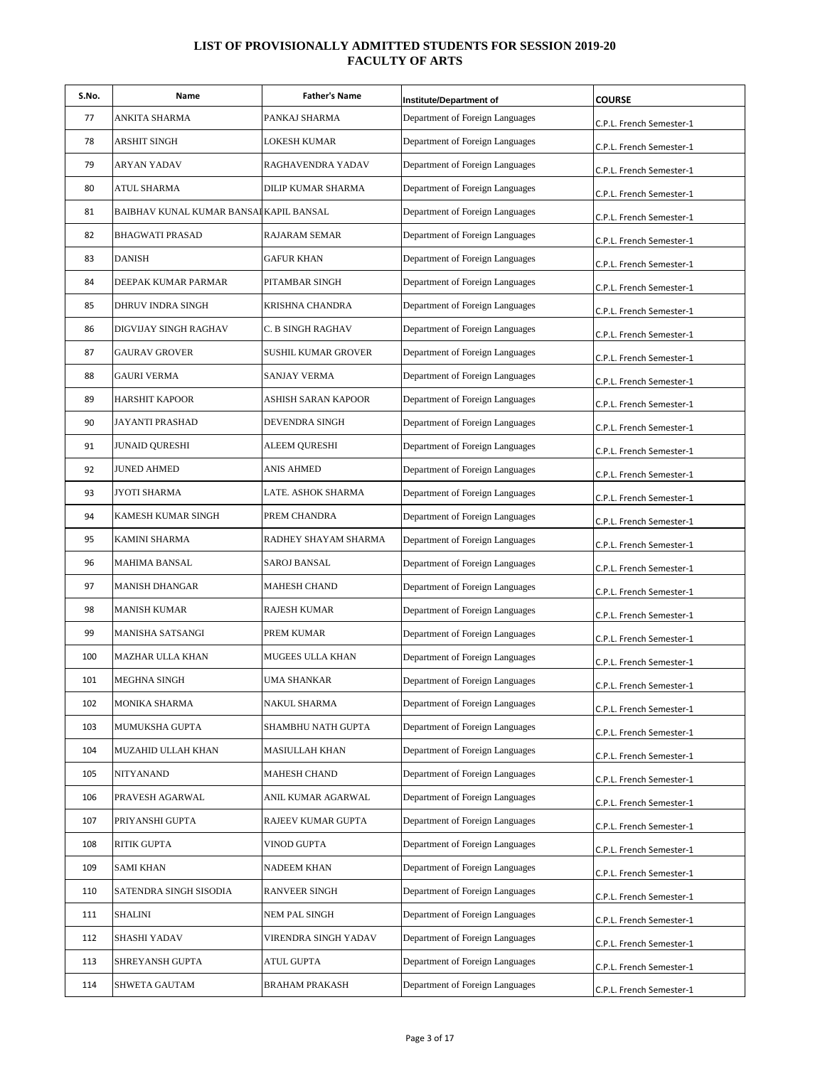| S.No. | Name                                    | <b>Father's Name</b> | Institute/Department of         | <b>COURSE</b>            |
|-------|-----------------------------------------|----------------------|---------------------------------|--------------------------|
| 77    | ANKITA SHARMA                           | PANKAJ SHARMA        | Department of Foreign Languages | C.P.L. French Semester-1 |
| 78    | ARSHIT SINGH                            | LOKESH KUMAR         | Department of Foreign Languages | C.P.L. French Semester-1 |
| 79    | ARYAN YADAV                             | RAGHAVENDRA YADAV    | Department of Foreign Languages | C.P.L. French Semester-1 |
| 80    | ATUL SHARMA                             | DILIP KUMAR SHARMA   | Department of Foreign Languages | C.P.L. French Semester-1 |
| 81    | BAIBHAV KUNAL KUMAR BANSAI KAPIL BANSAL |                      | Department of Foreign Languages | C.P.L. French Semester-1 |
| 82    | <b>BHAGWATI PRASAD</b>                  | RAJARAM SEMAR        | Department of Foreign Languages | C.P.L. French Semester-1 |
| 83    | <b>DANISH</b>                           | <b>GAFUR KHAN</b>    | Department of Foreign Languages | C.P.L. French Semester-1 |
| 84    | DEEPAK KUMAR PARMAR                     | PITAMBAR SINGH       | Department of Foreign Languages | C.P.L. French Semester-1 |
| 85    | DHRUV INDRA SINGH                       | KRISHNA CHANDRA      | Department of Foreign Languages | C.P.L. French Semester-1 |
| 86    | DIGVIJAY SINGH RAGHAV                   | C. B SINGH RAGHAV    | Department of Foreign Languages | C.P.L. French Semester-1 |
| 87    | <b>GAURAV GROVER</b>                    | SUSHIL KUMAR GROVER  | Department of Foreign Languages | C.P.L. French Semester-1 |
| 88    | <b>GAURI VERMA</b>                      | <b>SANJAY VERMA</b>  | Department of Foreign Languages | C.P.L. French Semester-1 |
| 89    | HARSHIT KAPOOR                          | ASHISH SARAN KAPOOR  | Department of Foreign Languages | C.P.L. French Semester-1 |
| 90    | JAYANTI PRASHAD                         | DEVENDRA SINGH       | Department of Foreign Languages | C.P.L. French Semester-1 |
| 91    | JUNAID QURESHI                          | ALEEM QURESHI        | Department of Foreign Languages | C.P.L. French Semester-1 |
| 92    | <b>JUNED AHMED</b>                      | <b>ANIS AHMED</b>    | Department of Foreign Languages | C.P.L. French Semester-1 |
| 93    | JYOTI SHARMA                            | LATE. ASHOK SHARMA   | Department of Foreign Languages | C.P.L. French Semester-1 |
| 94    | KAMESH KUMAR SINGH                      | PREM CHANDRA         | Department of Foreign Languages | C.P.L. French Semester-1 |
| 95    | KAMINI SHARMA                           | RADHEY SHAYAM SHARMA | Department of Foreign Languages | C.P.L. French Semester-1 |
| 96    | MAHIMA BANSAL                           | <b>SAROJ BANSAL</b>  | Department of Foreign Languages | C.P.L. French Semester-1 |
| 97    | MANISH DHANGAR                          | <b>MAHESH CHAND</b>  | Department of Foreign Languages | C.P.L. French Semester-1 |
| 98    | MANISH KUMAR                            | RAJESH KUMAR         | Department of Foreign Languages | C.P.L. French Semester-1 |
| 99    | MANISHA SATSANGI                        | PREM KUMAR           | Department of Foreign Languages | C.P.L. French Semester-1 |
| 100   | MAZHAR ULLA KHAN                        | MUGEES ULLA KHAN     | Department of Foreign Languages | C.P.L. French Semester-1 |
| 101   | MEGHNA SINGH                            | UMA SHANKAR          | Department of Foreign Languages | C.P.L. French Semester-1 |
| 102   | MONIKA SHARMA                           | NAKUL SHARMA         | Department of Foreign Languages | C.P.L. French Semester-1 |
| 103   | MUMUKSHA GUPTA                          | SHAMBHU NATH GUPTA   | Department of Foreign Languages | C.P.L. French Semester-1 |
| 104   | MUZAHID ULLAH KHAN                      | MASIULLAH KHAN       | Department of Foreign Languages | C.P.L. French Semester-1 |
| 105   | NITYANAND                               | MAHESH CHAND         | Department of Foreign Languages | C.P.L. French Semester-1 |
| 106   | PRAVESH AGARWAL                         | ANIL KUMAR AGARWAL   | Department of Foreign Languages | C.P.L. French Semester-1 |
| 107   | PRIYANSHI GUPTA                         | RAJEEV KUMAR GUPTA   | Department of Foreign Languages | C.P.L. French Semester-1 |
| 108   | RITIK GUPTA                             | VINOD GUPTA          | Department of Foreign Languages | C.P.L. French Semester-1 |
| 109   | SAMI KHAN                               | NADEEM KHAN          | Department of Foreign Languages | C.P.L. French Semester-1 |
| 110   | SATENDRA SINGH SISODIA                  | RANVEER SINGH        | Department of Foreign Languages | C.P.L. French Semester-1 |
| 111   | SHALINI                                 | NEM PAL SINGH        | Department of Foreign Languages | C.P.L. French Semester-1 |
| 112   | SHASHI YADAV                            | VIRENDRA SINGH YADAV | Department of Foreign Languages | C.P.L. French Semester-1 |
| 113   | SHREYANSH GUPTA                         | ATUL GUPTA           | Department of Foreign Languages | C.P.L. French Semester-1 |
| 114   | SHWETA GAUTAM                           | BRAHAM PRAKASH       | Department of Foreign Languages | C.P.L. French Semester-1 |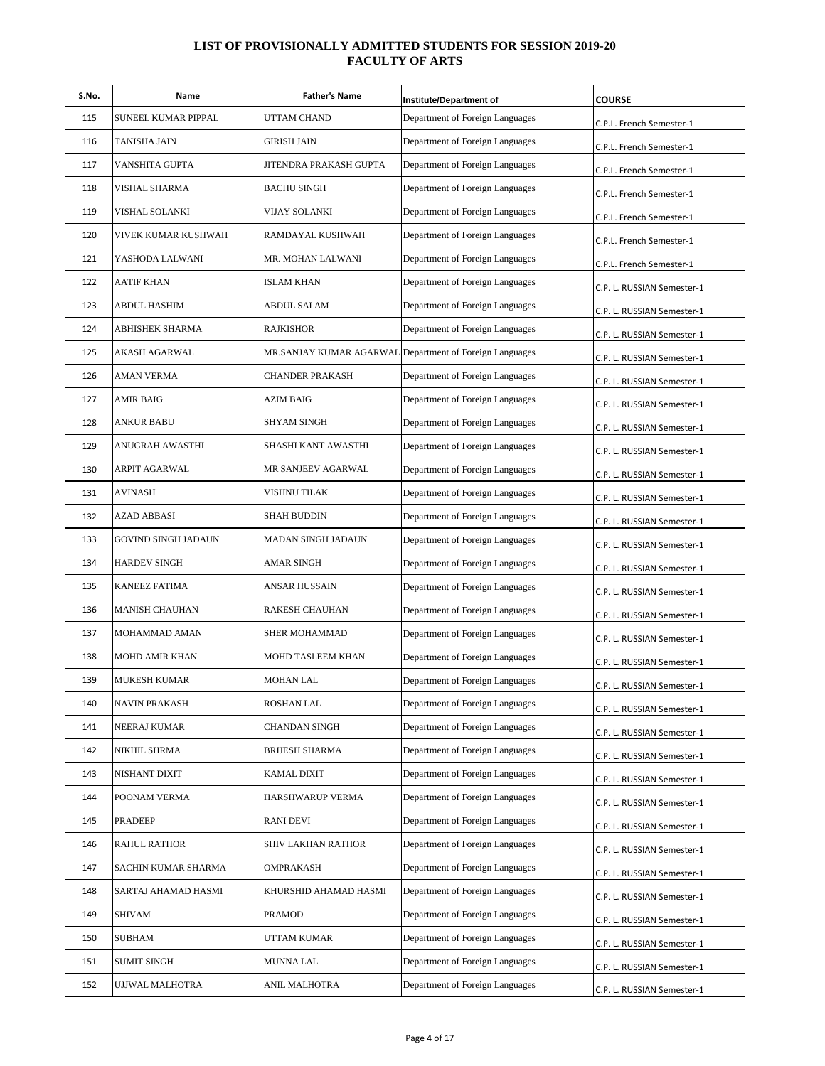| S.No. | Name                | <b>Father's Name</b>   | Institute/Department of                                 | <b>COURSE</b>              |
|-------|---------------------|------------------------|---------------------------------------------------------|----------------------------|
| 115   | SUNEEL KUMAR PIPPAL | UTTAM CHAND            | Department of Foreign Languages                         | C.P.L. French Semester-1   |
| 116   | TANISHA JAIN        | GIRISH JAIN            | Department of Foreign Languages                         | C.P.L. French Semester-1   |
| 117   | VANSHITA GUPTA      | JITENDRA PRAKASH GUPTA | Department of Foreign Languages                         | C.P.L. French Semester-1   |
| 118   | VISHAL SHARMA       | <b>BACHU SINGH</b>     | Department of Foreign Languages                         | C.P.L. French Semester-1   |
| 119   | VISHAL SOLANKI      | VIJAY SOLANKI          | Department of Foreign Languages                         | C.P.L. French Semester-1   |
| 120   | VIVEK KUMAR KUSHWAH | RAMDAYAL KUSHWAH       | Department of Foreign Languages                         | C.P.L. French Semester-1   |
| 121   | YASHODA LALWANI     | MR. MOHAN LALWANI      | Department of Foreign Languages                         | C.P.L. French Semester-1   |
| 122   | AATIF KHAN          | ISLAM KHAN             | Department of Foreign Languages                         | C.P. L. RUSSIAN Semester-1 |
| 123   | ABDUL HASHIM        | <b>ABDUL SALAM</b>     | Department of Foreign Languages                         | C.P. L. RUSSIAN Semester-1 |
| 124   | ABHISHEK SHARMA     | <b>RAJKISHOR</b>       | Department of Foreign Languages                         | C.P. L. RUSSIAN Semester-1 |
| 125   | AKASH AGARWAL       |                        | MR.SANJAY KUMAR AGARWAL Department of Foreign Languages | C.P. L. RUSSIAN Semester-1 |
| 126   | AMAN VERMA          | <b>CHANDER PRAKASH</b> | Department of Foreign Languages                         | C.P. L. RUSSIAN Semester-1 |
| 127   | AMIR BAIG           | <b>AZIM BAIG</b>       | Department of Foreign Languages                         | C.P. L. RUSSIAN Semester-1 |
| 128   | ANKUR BABU          | SHYAM SINGH            | Department of Foreign Languages                         | C.P. L. RUSSIAN Semester-1 |
| 129   | ANUGRAH AWASTHI     | SHASHI KANT AWASTHI    | Department of Foreign Languages                         | C.P. L. RUSSIAN Semester-1 |
| 130   | ARPIT AGARWAL       | MR SANJEEV AGARWAL     | Department of Foreign Languages                         | C.P. L. RUSSIAN Semester-1 |
| 131   | AVINASH             | VISHNU TILAK           | Department of Foreign Languages                         | C.P. L. RUSSIAN Semester-1 |
| 132   | AZAD ABBASI         | <b>SHAH BUDDIN</b>     | Department of Foreign Languages                         | C.P. L. RUSSIAN Semester-1 |
| 133   | GOVIND SINGH JADAUN | MADAN SINGH JADAUN     | Department of Foreign Languages                         | C.P. L. RUSSIAN Semester-1 |
| 134   | <b>HARDEV SINGH</b> | AMAR SINGH             | Department of Foreign Languages                         | C.P. L. RUSSIAN Semester-1 |
| 135   | KANEEZ FATIMA       | ANSAR HUSSAIN          | Department of Foreign Languages                         | C.P. L. RUSSIAN Semester-1 |
| 136   | MANISH CHAUHAN      | RAKESH CHAUHAN         | Department of Foreign Languages                         | C.P. L. RUSSIAN Semester-1 |
| 137   | MOHAMMAD AMAN       | SHER MOHAMMAD          | Department of Foreign Languages                         | C.P. L. RUSSIAN Semester-1 |
| 138   | MOHD AMIR KHAN      | MOHD TASLEEM KHAN      | Department of Foreign Languages                         | C.P. L. RUSSIAN Semester-1 |
| 139   | <b>MUKESH KUMAR</b> | <b>MOHAN LAL</b>       | Department of Foreign Languages                         | C.P. L. RUSSIAN Semester-1 |
| 140   | NAVIN PRAKASH       | ROSHAN LAL             | Department of Foreign Languages                         | C.P. L. RUSSIAN Semester-1 |
| 141   | NEERAJ KUMAR        | CHANDAN SINGH          | Department of Foreign Languages                         | C.P. L. RUSSIAN Semester-1 |
| 142   | NIKHIL SHRMA        | <b>BRIJESH SHARMA</b>  | Department of Foreign Languages                         | C.P. L. RUSSIAN Semester-1 |
| 143   | NISHANT DIXIT       | KAMAL DIXIT            | Department of Foreign Languages                         | C.P. L. RUSSIAN Semester-1 |
| 144   | POONAM VERMA        | HARSHWARUP VERMA       | Department of Foreign Languages                         | C.P. L. RUSSIAN Semester-1 |
| 145   | PRADEEP             | <b>RANI DEVI</b>       | Department of Foreign Languages                         | C.P. L. RUSSIAN Semester-1 |
| 146   | <b>RAHUL RATHOR</b> | SHIV LAKHAN RATHOR     | Department of Foreign Languages                         | C.P. L. RUSSIAN Semester-1 |
| 147   | SACHIN KUMAR SHARMA | OMPRAKASH              | Department of Foreign Languages                         | C.P. L. RUSSIAN Semester-1 |
| 148   | SARTAJ AHAMAD HASMI | KHURSHID AHAMAD HASMI  | Department of Foreign Languages                         | C.P. L. RUSSIAN Semester-1 |
| 149   | SHIVAM              | PRAMOD                 | Department of Foreign Languages                         | C.P. L. RUSSIAN Semester-1 |
| 150   | SUBHAM              | UTTAM KUMAR            | Department of Foreign Languages                         | C.P. L. RUSSIAN Semester-1 |
| 151   | SUMIT SINGH         | MUNNA LAL              | Department of Foreign Languages                         | C.P. L. RUSSIAN Semester-1 |
| 152   | UJJWAL MALHOTRA     | ANIL MALHOTRA          | Department of Foreign Languages                         | C.P. L. RUSSIAN Semester-1 |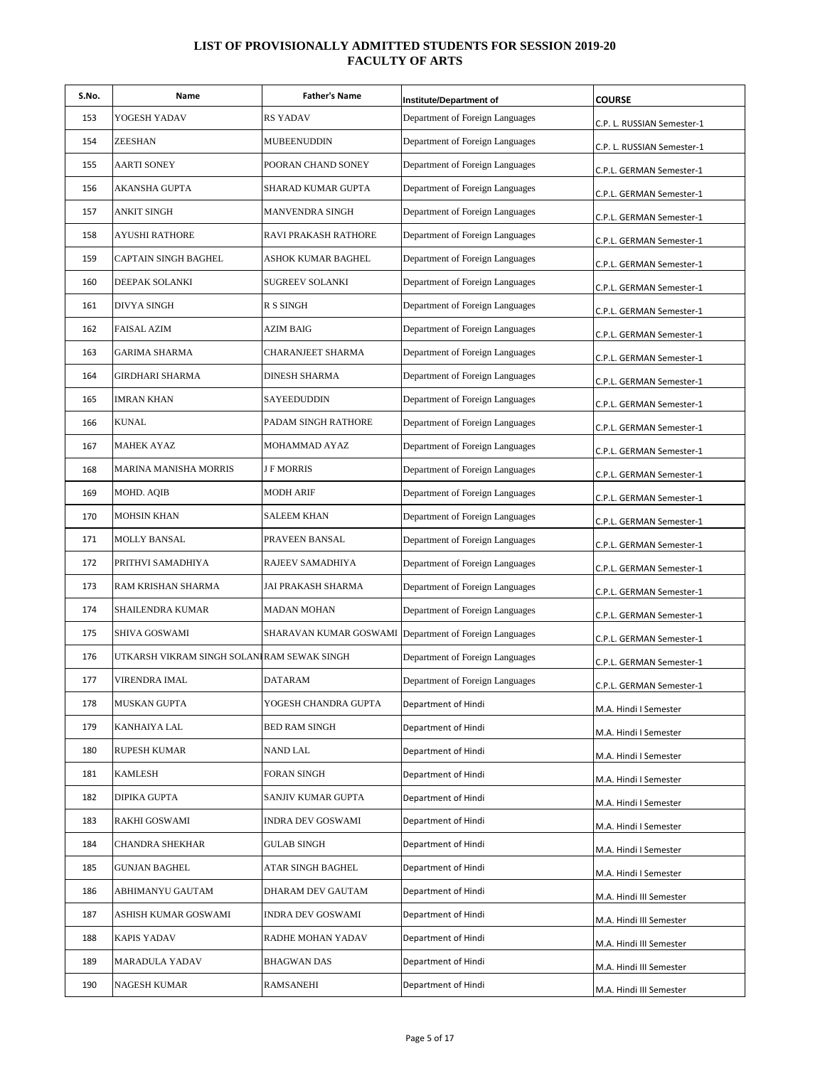| S.No. | Name                                        | <b>Father's Name</b> | Institute/Department of                                | <b>COURSE</b>              |
|-------|---------------------------------------------|----------------------|--------------------------------------------------------|----------------------------|
| 153   | YOGESH YADAV                                | <b>RS YADAV</b>      | Department of Foreign Languages                        | C.P. L. RUSSIAN Semester-1 |
| 154   | ZEESHAN                                     | MUBEENUDDIN          | Department of Foreign Languages                        | C.P. L. RUSSIAN Semester-1 |
| 155   | AARTI SONEY                                 | POORAN CHAND SONEY   | Department of Foreign Languages                        | C.P.L. GERMAN Semester-1   |
| 156   | AKANSHA GUPTA                               | SHARAD KUMAR GUPTA   | Department of Foreign Languages                        | C.P.L. GERMAN Semester-1   |
| 157   | ANKIT SINGH                                 | MANVENDRA SINGH      | Department of Foreign Languages                        | C.P.L. GERMAN Semester-1   |
| 158   | AYUSHI RATHORE                              | RAVI PRAKASH RATHORE | Department of Foreign Languages                        | C.P.L. GERMAN Semester-1   |
| 159   | <b>CAPTAIN SINGH BAGHEL</b>                 | ASHOK KUMAR BAGHEL   | Department of Foreign Languages                        | C.P.L. GERMAN Semester-1   |
| 160   | DEEPAK SOLANKI                              | SUGREEV SOLANKI      | Department of Foreign Languages                        | C.P.L. GERMAN Semester-1   |
| 161   | <b>DIVYA SINGH</b>                          | R S SINGH            | Department of Foreign Languages                        | C.P.L. GERMAN Semester-1   |
| 162   | <b>FAISAL AZIM</b>                          | <b>AZIM BAIG</b>     | Department of Foreign Languages                        | C.P.L. GERMAN Semester-1   |
| 163   | GARIMA SHARMA                               | CHARANJEET SHARMA    | Department of Foreign Languages                        | C.P.L. GERMAN Semester-1   |
| 164   | GIRDHARI SHARMA                             | DINESH SHARMA        | Department of Foreign Languages                        | C.P.L. GERMAN Semester-1   |
| 165   | IMRAN KHAN                                  | SAYEEDUDDIN          | Department of Foreign Languages                        | C.P.L. GERMAN Semester-1   |
| 166   | KUNAL                                       | PADAM SINGH RATHORE  | Department of Foreign Languages                        | C.P.L. GERMAN Semester-1   |
| 167   | <b>MAHEK AYAZ</b>                           | MOHAMMAD AYAZ        | Department of Foreign Languages                        | C.P.L. GERMAN Semester-1   |
| 168   | MARINA MANISHA MORRIS                       | <b>J F MORRIS</b>    | Department of Foreign Languages                        | C.P.L. GERMAN Semester-1   |
| 169   | MOHD. AQIB                                  | <b>MODH ARIF</b>     | Department of Foreign Languages                        | C.P.L. GERMAN Semester-1   |
| 170   | MOHSIN KHAN                                 | <b>SALEEM KHAN</b>   | Department of Foreign Languages                        | C.P.L. GERMAN Semester-1   |
| 171   | MOLLY BANSAL                                | PRAVEEN BANSAL       | Department of Foreign Languages                        | C.P.L. GERMAN Semester-1   |
| 172   | PRITHVI SAMADHIYA                           | RAJEEV SAMADHIYA     | Department of Foreign Languages                        | C.P.L. GERMAN Semester-1   |
| 173   | RAM KRISHAN SHARMA                          | JAI PRAKASH SHARMA   | Department of Foreign Languages                        | C.P.L. GERMAN Semester-1   |
| 174   | SHAILENDRA KUMAR                            | <b>MADAN MOHAN</b>   | Department of Foreign Languages                        | C.P.L. GERMAN Semester-1   |
| 175   | SHIVA GOSWAMI                               |                      | SHARAVAN KUMAR GOSWAMI Department of Foreign Languages | C.P.L. GERMAN Semester-1   |
| 176   | UTKARSH VIKRAM SINGH SOLANI RAM SEWAK SINGH |                      | Department of Foreign Languages                        | C.P.L. GERMAN Semester-1   |
| 177   | VIRENDRA IMAL                               | <b>DATARAM</b>       | Department of Foreign Languages                        | C.P.L. GERMAN Semester-1   |
| 178   | <b>MUSKAN GUPTA</b>                         | YOGESH CHANDRA GUPTA | Department of Hindi                                    | M.A. Hindi I Semester      |
| 179   | KANHAIYA LAL                                | <b>BED RAM SINGH</b> | Department of Hindi                                    | M.A. Hindi I Semester      |
| 180   | RUPESH KUMAR                                | NAND LAL             | Department of Hindi                                    | M.A. Hindi I Semester      |
| 181   | KAMLESH                                     | FORAN SINGH          | Department of Hindi                                    | M.A. Hindi I Semester      |
| 182   | DIPIKA GUPTA                                | SANJIV KUMAR GUPTA   | Department of Hindi                                    | M.A. Hindi I Semester      |
| 183   | RAKHI GOSWAMI                               | INDRA DEV GOSWAMI    | Department of Hindi                                    | M.A. Hindi I Semester      |
| 184   | CHANDRA SHEKHAR                             | GULAB SINGH          | Department of Hindi                                    | M.A. Hindi I Semester      |
| 185   | GUNJAN BAGHEL                               | ATAR SINGH BAGHEL    | Department of Hindi                                    | M.A. Hindi I Semester      |
| 186   | ABHIMANYU GAUTAM                            | DHARAM DEV GAUTAM    | Department of Hindi                                    | M.A. Hindi III Semester    |
| 187   | ASHISH KUMAR GOSWAMI                        | INDRA DEV GOSWAMI    | Department of Hindi                                    | M.A. Hindi III Semester    |
| 188   | KAPIS YADAV                                 | RADHE MOHAN YADAV    | Department of Hindi                                    | M.A. Hindi III Semester    |
| 189   | MARADULA YADAV                              | <b>BHAGWAN DAS</b>   | Department of Hindi                                    | M.A. Hindi III Semester    |
| 190   | NAGESH KUMAR                                | <b>RAMSANEHI</b>     | Department of Hindi                                    | M.A. Hindi III Semester    |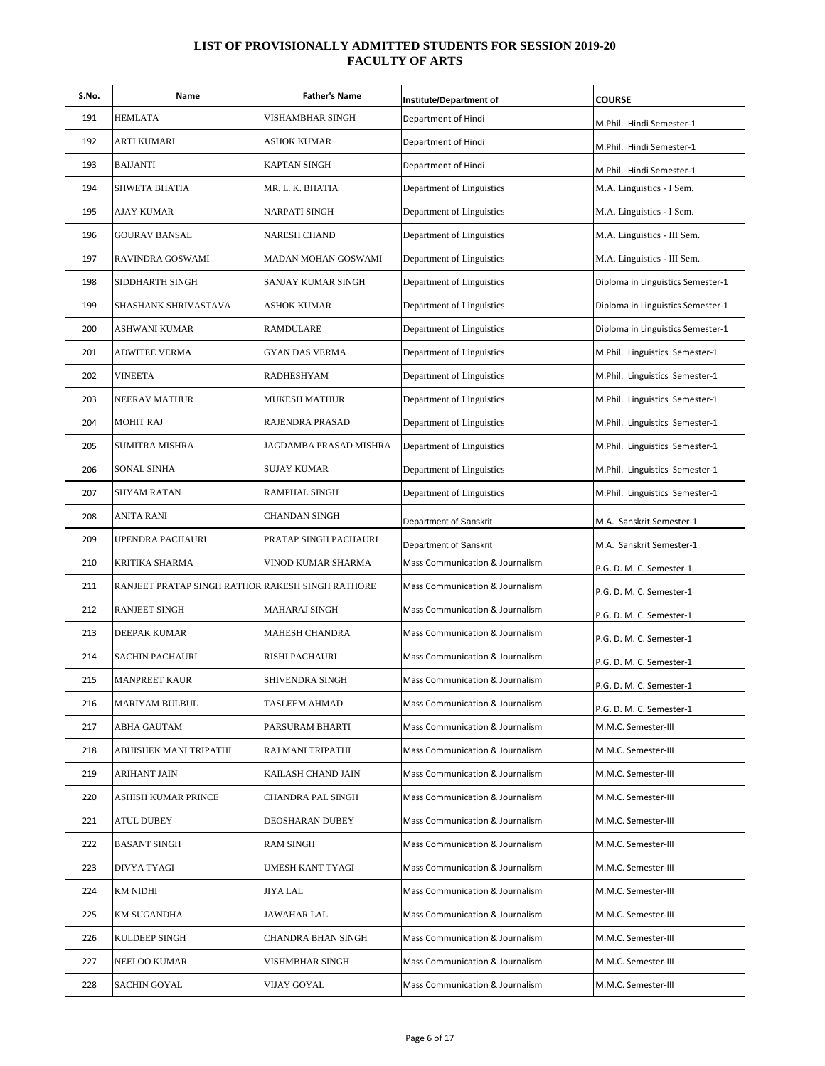| S.No. | Name                                             | <b>Father's Name</b>   | Institute/Department of         | <b>COURSE</b>                     |
|-------|--------------------------------------------------|------------------------|---------------------------------|-----------------------------------|
| 191   | <b>HEMLATA</b>                                   | VISHAMBHAR SINGH       | Department of Hindi             | M.Phil. Hindi Semester-1          |
| 192   | ARTI KUMARI                                      | ASHOK KUMAR            | Department of Hindi             | M.Phil. Hindi Semester-1          |
| 193   | <b>BAIJANTI</b>                                  | KAPTAN SINGH           | Department of Hindi             | M.Phil. Hindi Semester-1          |
| 194   | SHWETA BHATIA                                    | MR. L. K. BHATIA       | Department of Linguistics       | M.A. Linguistics - I Sem.         |
| 195   | AJAY KUMAR                                       | NARPATI SINGH          | Department of Linguistics       | M.A. Linguistics - I Sem.         |
| 196   | <b>GOURAV BANSAL</b>                             | <b>NARESH CHAND</b>    | Department of Linguistics       | M.A. Linguistics - III Sem.       |
| 197   | RAVINDRA GOSWAMI                                 | MADAN MOHAN GOSWAMI    | Department of Linguistics       | M.A. Linguistics - III Sem.       |
| 198   | SIDDHARTH SINGH                                  | SANJAY KUMAR SINGH     | Department of Linguistics       | Diploma in Linguistics Semester-1 |
| 199   | SHASHANK SHRIVASTAVA                             | ASHOK KUMAR            | Department of Linguistics       | Diploma in Linguistics Semester-1 |
| 200   | ASHWANI KUMAR                                    | RAMDULARE              | Department of Linguistics       | Diploma in Linguistics Semester-1 |
| 201   | ADWITEE VERMA                                    | GYAN DAS VERMA         | Department of Linguistics       | M.Phil. Linguistics Semester-1    |
| 202   | <b>VINEETA</b>                                   | RADHESHYAM             | Department of Linguistics       | M.Phil. Linguistics Semester-1    |
| 203   | NEERAV MATHUR                                    | MUKESH MATHUR          | Department of Linguistics       | M.Phil. Linguistics Semester-1    |
| 204   | MOHIT RAJ                                        | RAJENDRA PRASAD        | Department of Linguistics       | M.Phil. Linguistics Semester-1    |
| 205   | SUMITRA MISHRA                                   | JAGDAMBA PRASAD MISHRA | Department of Linguistics       | M.Phil. Linguistics Semester-1    |
| 206   | <b>SONAL SINHA</b>                               | SUJAY KUMAR            | Department of Linguistics       | M.Phil. Linguistics Semester-1    |
| 207   | SHYAM RATAN                                      | RAMPHAL SINGH          | Department of Linguistics       | M.Phil. Linguistics Semester-1    |
| 208   | ANITA RANI                                       | CHANDAN SINGH          | Department of Sanskrit          | M.A. Sanskrit Semester-1          |
| 209   | UPENDRA PACHAURI                                 | PRATAP SINGH PACHAURI  | Department of Sanskrit          | M.A. Sanskrit Semester-1          |
| 210   | KRITIKA SHARMA                                   | VINOD KUMAR SHARMA     | Mass Communication & Journalism | P.G. D. M. C. Semester-1          |
| 211   | RANJEET PRATAP SINGH RATHOR RAKESH SINGH RATHORE |                        | Mass Communication & Journalism | P.G. D. M. C. Semester-1          |
| 212   | <b>RANJEET SINGH</b>                             | MAHARAJ SINGH          | Mass Communication & Journalism | P.G. D. M. C. Semester-1          |
| 213   | DEEPAK KUMAR                                     | MAHESH CHANDRA         | Mass Communication & Journalism | P.G. D. M. C. Semester-1          |
| 214   | SACHIN PACHAURI                                  | RISHI PACHAURI         | Mass Communication & Journalism | P.G. D. M. C. Semester-1          |
| 215   | <b>MANPREET KAUR</b>                             | SHIVENDRA SINGH        | Mass Communication & Journalism | P.G. D. M. C. Semester-1          |
| 216   | MARIYAM BULBUL                                   | TASLEEM AHMAD          | Mass Communication & Journalism | P.G. D. M. C. Semester-1          |
| 217   | ABHA GAUTAM                                      | PARSURAM BHARTI        | Mass Communication & Journalism | M.M.C. Semester-III               |
| 218   | ABHISHEK MANI TRIPATHI                           | RAJ MANI TRIPATHI      | Mass Communication & Journalism | M.M.C. Semester-III               |
| 219   | ARIHANT JAIN                                     | KAILASH CHAND JAIN     | Mass Communication & Journalism | M.M.C. Semester-III               |
| 220   | ASHISH KUMAR PRINCE                              | CHANDRA PAL SINGH      | Mass Communication & Journalism | M.M.C. Semester-III               |
| 221   | ATUL DUBEY                                       | DEOSHARAN DUBEY        | Mass Communication & Journalism | M.M.C. Semester-III               |
| 222   | <b>BASANT SINGH</b>                              | RAM SINGH              | Mass Communication & Journalism | M.M.C. Semester-III               |
| 223   | DIVYA TYAGI                                      | UMESH KANT TYAGI       | Mass Communication & Journalism | M.M.C. Semester-III               |
| 224   | KM NIDHI                                         | JIYA LAL               | Mass Communication & Journalism | M.M.C. Semester-III               |
| 225   | <b>KM SUGANDHA</b>                               | JAWAHAR LAL            | Mass Communication & Journalism | M.M.C. Semester-III               |
| 226   | KULDEEP SINGH                                    | CHANDRA BHAN SINGH     | Mass Communication & Journalism | M.M.C. Semester-III               |
| 227   | NEELOO KUMAR                                     | VISHMBHAR SINGH        | Mass Communication & Journalism | M.M.C. Semester-III               |
| 228   | <b>SACHIN GOYAL</b>                              | VIJAY GOYAL            | Mass Communication & Journalism | M.M.C. Semester-III               |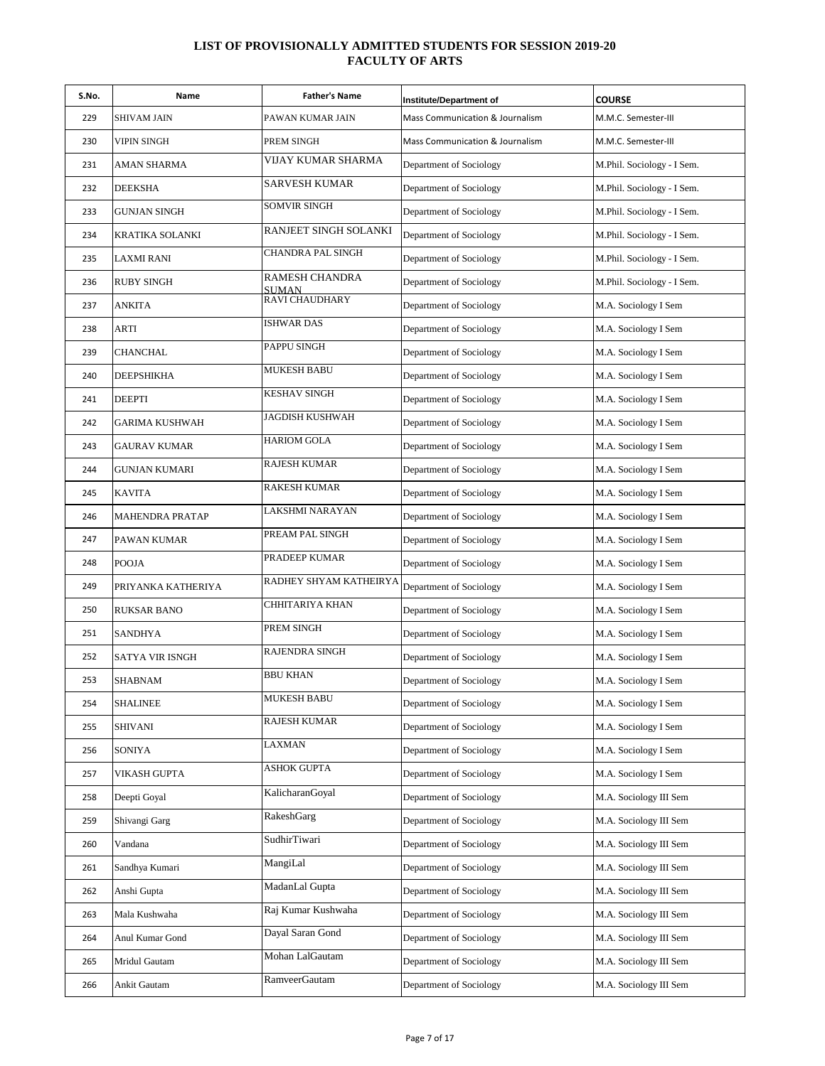| S.No. | Name                   | <b>Father's Name</b>           | Institute/Department of         | <b>COURSE</b>              |
|-------|------------------------|--------------------------------|---------------------------------|----------------------------|
| 229   | SHIVAM JAIN            | PAWAN KUMAR JAIN               | Mass Communication & Journalism | M.M.C. Semester-III        |
| 230   | VIPIN SINGH            | PREM SINGH                     | Mass Communication & Journalism | M.M.C. Semester-III        |
| 231   | AMAN SHARMA            | VIJAY KUMAR SHARMA             | Department of Sociology         | M.Phil. Sociology - I Sem. |
| 232   | DEEKSHA                | <b>SARVESH KUMAR</b>           | Department of Sociology         | M.Phil. Sociology - I Sem. |
| 233   | <b>GUNJAN SINGH</b>    | SOMVIR SINGH                   | Department of Sociology         | M.Phil. Sociology - I Sem. |
| 234   | KRATIKA SOLANKI        | RANJEET SINGH SOLANKI          | Department of Sociology         | M.Phil. Sociology - I Sem. |
| 235   | <b>LAXMI RANI</b>      | CHANDRA PAL SINGH              | Department of Sociology         | M.Phil. Sociology - I Sem. |
| 236   | <b>RUBY SINGH</b>      | RAMESH CHANDRA<br><b>SUMAN</b> | Department of Sociology         | M.Phil. Sociology - I Sem. |
| 237   | ANKITA                 | RAVI CHAUDHARY                 | Department of Sociology         | M.A. Sociology I Sem       |
| 238   | ARTI                   | <b>ISHWAR DAS</b>              | Department of Sociology         | M.A. Sociology I Sem       |
| 239   | <b>CHANCHAL</b>        | PAPPU SINGH                    | Department of Sociology         | M.A. Sociology I Sem       |
| 240   | DEEPSHIKHA             | <b>MUKESH BABU</b>             | Department of Sociology         | M.A. Sociology I Sem       |
| 241   | <b>DEEPTI</b>          | <b>KESHAV SINGH</b>            | Department of Sociology         | M.A. Sociology I Sem       |
| 242   | GARIMA KUSHWAH         | JAGDISH KUSHWAH                | Department of Sociology         | M.A. Sociology I Sem       |
| 243   | GAURAV KUMAR           | <b>HARIOM GOLA</b>             | Department of Sociology         | M.A. Sociology I Sem       |
| 244   | GUNJAN KUMARI          | <b>RAJESH KUMAR</b>            | Department of Sociology         | M.A. Sociology I Sem       |
| 245   | <b>KAVITA</b>          | RAKESH KUMAR                   | Department of Sociology         | M.A. Sociology I Sem       |
| 246   | <b>MAHENDRA PRATAP</b> | LAKSHMI NARAYAN                | Department of Sociology         | M.A. Sociology I Sem       |
| 247   | PAWAN KUMAR            | PREAM PAL SINGH                | Department of Sociology         | M.A. Sociology I Sem       |
| 248   | <b>POOJA</b>           | PRADEEP KUMAR                  | Department of Sociology         | M.A. Sociology I Sem       |
| 249   | PRIYANKA KATHERIYA     | RADHEY SHYAM KATHEIRYA         | Department of Sociology         | M.A. Sociology I Sem       |
| 250   | <b>RUKSAR BANO</b>     | CHHITARIYA KHAN                | Department of Sociology         | M.A. Sociology I Sem       |
| 251   | <b>SANDHYA</b>         | PREM SINGH                     | Department of Sociology         | M.A. Sociology I Sem       |
| 252   | SATYA VIR ISNGH        | RAJENDRA SINGH                 | Department of Sociology         | M.A. Sociology I Sem       |
| 253   | <b>SHABNAM</b>         | <b>BBU KHAN</b>                | Department of Sociology         | M.A. Sociology I Sem       |
| 254   | SHALINEE               | <b>MUKESH BABU</b>             | Department of Sociology         | M.A. Sociology I Sem       |
| 255   | <b>SHIVANI</b>         | RAJESH KUMAR                   | Department of Sociology         | M.A. Sociology I Sem       |
| 256   | SONIYA                 | LAXMAN                         | Department of Sociology         | M.A. Sociology I Sem       |
| 257   | VIKASH GUPTA           | <b>ASHOK GUPTA</b>             | Department of Sociology         | M.A. Sociology I Sem       |
| 258   | Deepti Goyal           | KalicharanGoyal                | Department of Sociology         | M.A. Sociology III Sem     |
| 259   | Shivangi Garg          | RakeshGarg                     | Department of Sociology         | M.A. Sociology III Sem     |
| 260   | Vandana                | SudhirTiwari                   | Department of Sociology         | M.A. Sociology III Sem     |
| 261   | Sandhya Kumari         | MangiLal                       | Department of Sociology         | M.A. Sociology III Sem     |
| 262   | Anshi Gupta            | MadanLal Gupta                 | Department of Sociology         | M.A. Sociology III Sem     |
| 263   | Mala Kushwaha          | Raj Kumar Kushwaha             | Department of Sociology         | M.A. Sociology III Sem     |
| 264   | Anul Kumar Gond        | Dayal Saran Gond               | Department of Sociology         | M.A. Sociology III Sem     |
| 265   | Mridul Gautam          | Mohan LalGautam                | Department of Sociology         | M.A. Sociology III Sem     |
| 266   | Ankit Gautam           | RamveerGautam                  | Department of Sociology         | M.A. Sociology III Sem     |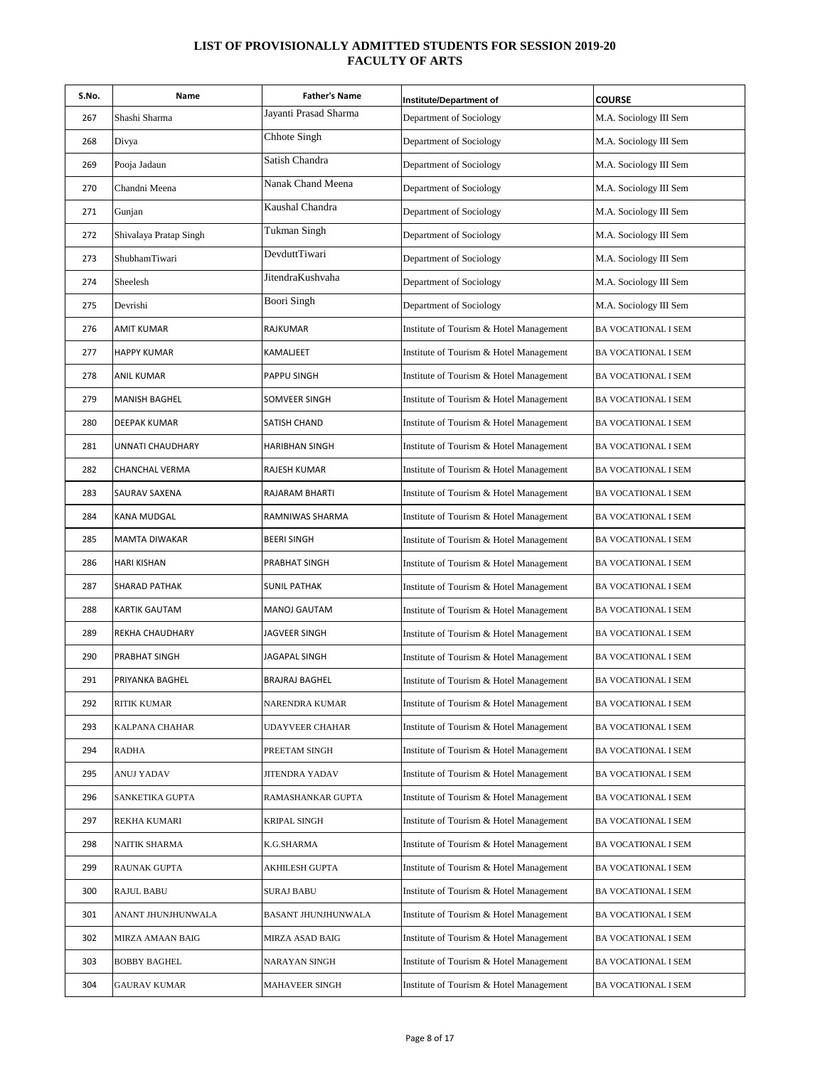| S.No. | Name                    | <b>Father's Name</b>   | Institute/Department of                 | <b>COURSE</b>              |
|-------|-------------------------|------------------------|-----------------------------------------|----------------------------|
| 267   | Shashi Sharma           | Jayanti Prasad Sharma  | Department of Sociology                 | M.A. Sociology III Sem     |
| 268   | Divya                   | Chhote Singh           | Department of Sociology                 | M.A. Sociology III Sem     |
| 269   | Pooja Jadaun            | Satish Chandra         | Department of Sociology                 | M.A. Sociology III Sem     |
| 270   | Chandni Meena           | Nanak Chand Meena      | Department of Sociology                 | M.A. Sociology III Sem     |
| 271   | Gunjan                  | Kaushal Chandra        | Department of Sociology                 | M.A. Sociology III Sem     |
| 272   | Shivalaya Pratap Singh  | <b>Tukman Singh</b>    | Department of Sociology                 | M.A. Sociology III Sem     |
| 273   | ShubhamTiwari           | DevduttTiwari          | Department of Sociology                 | M.A. Sociology III Sem     |
| 274   | Sheelesh                | JitendraKushvaha       | Department of Sociology                 | M.A. Sociology III Sem     |
| 275   | Devrishi                | <b>Boori Singh</b>     | Department of Sociology                 | M.A. Sociology III Sem     |
| 276   | <b>AMIT KUMAR</b>       | RAJKUMAR               | Institute of Tourism & Hotel Management | <b>BA VOCATIONAL I SEM</b> |
| 277   | <b>HAPPY KUMAR</b>      | KAMALJEET              | Institute of Tourism & Hotel Management | <b>BA VOCATIONAL I SEM</b> |
| 278   | <b>ANIL KUMAR</b>       | PAPPU SINGH            | Institute of Tourism & Hotel Management | BA VOCATIONAL I SEM        |
| 279   | <b>MANISH BAGHEL</b>    | SOMVEER SINGH          | Institute of Tourism & Hotel Management | BA VOCATIONAL I SEM        |
| 280   | DEEPAK KUMAR            | SATISH CHAND           | Institute of Tourism & Hotel Management | BA VOCATIONAL I SEM        |
| 281   | <b>UNNATI CHAUDHARY</b> | HARIBHAN SINGH         | Institute of Tourism & Hotel Management | BA VOCATIONAL I SEM        |
| 282   | CHANCHAL VERMA          | RAJESH KUMAR           | Institute of Tourism & Hotel Management | <b>BA VOCATIONAL I SEM</b> |
| 283   | SAURAV SAXENA           | RAJARAM BHARTI         | Institute of Tourism & Hotel Management | <b>BA VOCATIONAL I SEM</b> |
| 284   | KANA MUDGAL             | RAMNIWAS SHARMA        | Institute of Tourism & Hotel Management | <b>BA VOCATIONAL I SEM</b> |
| 285   | <b>MAMTA DIWAKAR</b>    | <b>BEERI SINGH</b>     | Institute of Tourism & Hotel Management | BA VOCATIONAL I SEM        |
| 286   | <b>HARI KISHAN</b>      | PRABHAT SINGH          | Institute of Tourism & Hotel Management | <b>BA VOCATIONAL I SEM</b> |
| 287   | SHARAD PATHAK           | SUNIL PATHAK           | Institute of Tourism & Hotel Management | BA VOCATIONAL I SEM        |
| 288   | <b>KARTIK GAUTAM</b>    | MANOJ GAUTAM           | Institute of Tourism & Hotel Management | BA VOCATIONAL I SEM        |
| 289   | REKHA CHAUDHARY         | JAGVEER SINGH          | Institute of Tourism & Hotel Management | BA VOCATIONAL I SEM        |
| 290   | PRABHAT SINGH           | <b>JAGAPAL SINGH</b>   | Institute of Tourism & Hotel Management | <b>BA VOCATIONAL I SEM</b> |
| 291   | PRIYANKA BAGHEL         | <b>BRAJRAJ BAGHEL</b>  | Institute of Tourism & Hotel Management | <b>BA VOCATIONAL I SEM</b> |
| 292   | RITIK KUMAR             | NARENDRA KUMAR         | Institute of Tourism & Hotel Management | <b>BA VOCATIONAL I SEM</b> |
| 293   | KALPANA CHAHAR          | <b>UDAYVEER CHAHAR</b> | Institute of Tourism & Hotel Management | <b>BA VOCATIONAL I SEM</b> |
| 294   | <b>RADHA</b>            | PREETAM SINGH          | Institute of Tourism & Hotel Management | <b>BA VOCATIONAL I SEM</b> |
| 295   | ANUJ YADAV              | JITENDRA YADAV         | Institute of Tourism & Hotel Management | <b>BA VOCATIONAL I SEM</b> |
| 296   | SANKETIKA GUPTA         | RAMASHANKAR GUPTA      | Institute of Tourism & Hotel Management | <b>BA VOCATIONAL I SEM</b> |
| 297   | <b>REKHA KUMARI</b>     | KRIPAL SINGH           | Institute of Tourism & Hotel Management | BA VOCATIONAL I SEM        |
| 298   | NAITIK SHARMA           | K.G.SHARMA             | Institute of Tourism & Hotel Management | BA VOCATIONAL I SEM        |
| 299   | RAUNAK GUPTA            | AKHILESH GUPTA         | Institute of Tourism & Hotel Management | BA VOCATIONAL I SEM        |
| 300   | <b>RAJUL BABU</b>       | <b>SURAJ BABU</b>      | Institute of Tourism & Hotel Management | BA VOCATIONAL I SEM        |
| 301   | ANANT JHUNJHUNWALA      | BASANT JHUNJHUNWALA    | Institute of Tourism & Hotel Management | <b>BA VOCATIONAL I SEM</b> |
| 302   | MIRZA AMAAN BAIG        | MIRZA ASAD BAIG        | Institute of Tourism & Hotel Management | BA VOCATIONAL I SEM        |
| 303   | <b>BOBBY BAGHEL</b>     | NARAYAN SINGH          | Institute of Tourism & Hotel Management | <b>BA VOCATIONAL I SEM</b> |
| 304   | <b>GAURAV KUMAR</b>     | MAHAVEER SINGH         | Institute of Tourism & Hotel Management | <b>BA VOCATIONAL I SEM</b> |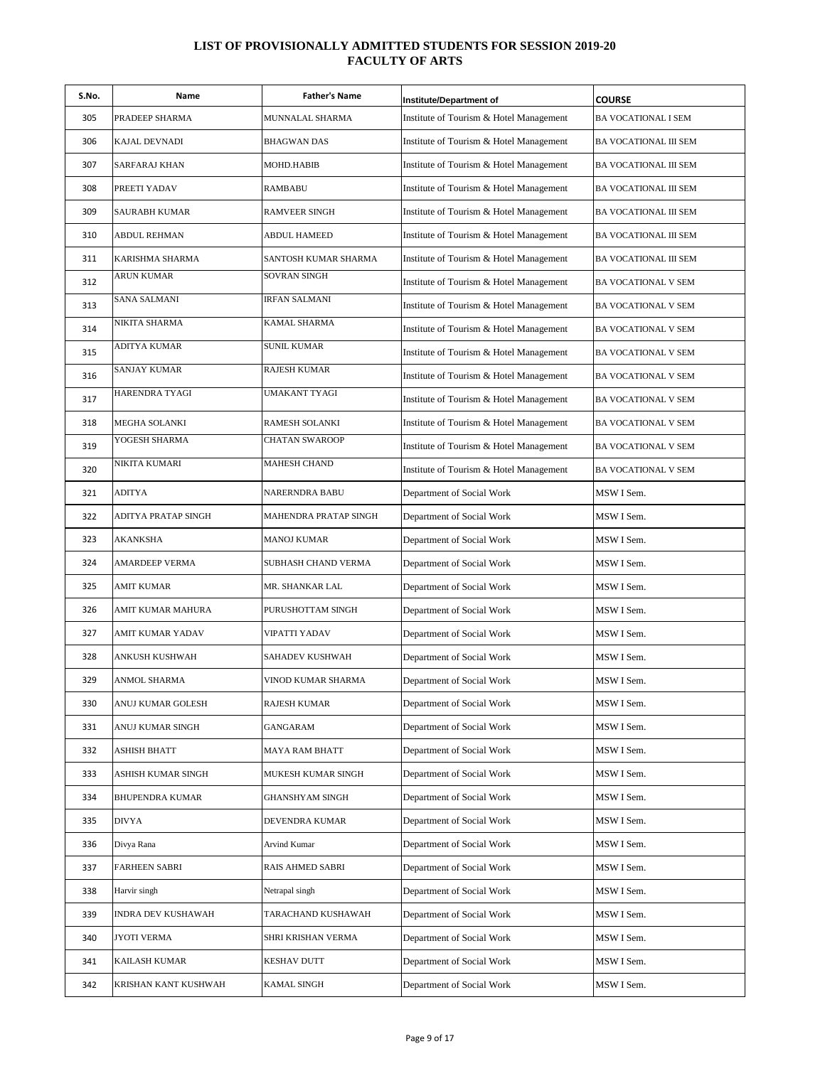| S.No. | Name                   | <b>Father's Name</b>  | Institute/Department of                 | <b>COURSE</b>              |
|-------|------------------------|-----------------------|-----------------------------------------|----------------------------|
| 305   | PRADEEP SHARMA         | MUNNALAL SHARMA       | Institute of Tourism & Hotel Management | <b>BA VOCATIONAL I SEM</b> |
| 306   | KAJAL DEVNADI          | <b>BHAGWAN DAS</b>    | Institute of Tourism & Hotel Management | BA VOCATIONAL III SEM      |
| 307   | <b>SARFARAJ KHAN</b>   | MOHD.HABIB            | Institute of Tourism & Hotel Management | BA VOCATIONAL III SEM      |
| 308   | PREETI YADAV           | RAMBABU               | Institute of Tourism & Hotel Management | BA VOCATIONAL III SEM      |
| 309   | SAURABH KUMAR          | RAMVEER SINGH         | Institute of Tourism & Hotel Management | BA VOCATIONAL III SEM      |
| 310   | ABDUL REHMAN           | ABDUL HAMEED          | Institute of Tourism & Hotel Management | BA VOCATIONAL III SEM      |
| 311   | KARISHMA SHARMA        | SANTOSH KUMAR SHARMA  | Institute of Tourism & Hotel Management | BA VOCATIONAL III SEM      |
| 312   | ARUN KUMAR             | <b>SOVRAN SINGH</b>   | Institute of Tourism & Hotel Management | <b>BA VOCATIONAL V SEM</b> |
| 313   | <b>SANA SALMANI</b>    | <b>IRFAN SALMANI</b>  | Institute of Tourism & Hotel Management | BA VOCATIONAL V SEM        |
| 314   | NIKITA SHARMA          | KAMAL SHARMA          | Institute of Tourism & Hotel Management | BA VOCATIONAL V SEM        |
| 315   | ADITYA KUMAR           | <b>SUNIL KUMAR</b>    | Institute of Tourism & Hotel Management | BA VOCATIONAL V SEM        |
| 316   | <b>SANJAY KUMAR</b>    | <b>RAJESH KUMAR</b>   | Institute of Tourism & Hotel Management | BA VOCATIONAL V SEM        |
| 317   | <b>HARENDRA TYAGI</b>  | UMAKANT TYAGI         | Institute of Tourism & Hotel Management | BA VOCATIONAL V SEM        |
| 318   | MEGHA SOLANKI          | RAMESH SOLANKI        | Institute of Tourism & Hotel Management | BA VOCATIONAL V SEM        |
| 319   | YOGESH SHARMA          | <b>CHATAN SWAROOP</b> | Institute of Tourism & Hotel Management | BA VOCATIONAL V SEM        |
| 320   | NIKITA KUMARI          | <b>MAHESH CHAND</b>   | Institute of Tourism & Hotel Management | BA VOCATIONAL V SEM        |
| 321   | <b>ADITYA</b>          | NARERNDRA BABU        | Department of Social Work               | MSW I Sem.                 |
| 322   | ADITYA PRATAP SINGH    | MAHENDRA PRATAP SINGH | Department of Social Work               | MSW I Sem.                 |
| 323   | <b>AKANKSHA</b>        | <b>MANOJ KUMAR</b>    | Department of Social Work               | MSW I Sem.                 |
| 324   | AMARDEEP VERMA         | SUBHASH CHAND VERMA   | Department of Social Work               | MSW I Sem.                 |
| 325   | AMIT KUMAR             | MR. SHANKAR LAL       | Department of Social Work               | MSW I Sem.                 |
| 326   | AMIT KUMAR MAHURA      | PURUSHOTTAM SINGH     | Department of Social Work               | MSW I Sem.                 |
| 327   | AMIT KUMAR YADAV       | <b>VIPATTI YADAV</b>  | Department of Social Work               | MSW I Sem.                 |
| 328   | ANKUSH KUSHWAH         | SAHADEV KUSHWAH       | Department of Social Work               | MSW I Sem.                 |
| 329   | ANMOL SHARMA           | VINOD KUMAR SHARMA    | Department of Social Work               | MSW I Sem.                 |
| 330   | ANUJ KUMAR GOLESH      | RAJESH KUMAR          | Department of Social Work               | MSW I Sem.                 |
| 331   | ANUJ KUMAR SINGH       | GANGARAM              | Department of Social Work               | MSW I Sem.                 |
| 332   | ASHISH BHATT           | MAYA RAM BHATT        | Department of Social Work               | MSW I Sem.                 |
| 333   | ASHISH KUMAR SINGH     | MUKESH KUMAR SINGH    | Department of Social Work               | MSW I Sem.                 |
| 334   | <b>BHUPENDRA KUMAR</b> | GHANSHYAM SINGH       | Department of Social Work               | MSW I Sem.                 |
| 335   | <b>DIVYA</b>           | DEVENDRA KUMAR        | Department of Social Work               | MSW I Sem.                 |
| 336   | Divya Rana             | Arvind Kumar          | Department of Social Work               | MSW I Sem.                 |
| 337   | <b>FARHEEN SABRI</b>   | RAIS AHMED SABRI      | Department of Social Work               | MSW I Sem.                 |
| 338   | Harvir singh           | Netrapal singh        | Department of Social Work               | MSW I Sem.                 |
| 339   | INDRA DEV KUSHAWAH     | TARACHAND KUSHAWAH    | Department of Social Work               | MSW I Sem.                 |
| 340   | JYOTI VERMA            | SHRI KRISHAN VERMA    | Department of Social Work               | MSW I Sem.                 |
| 341   | KAILASH KUMAR          | KESHAV DUTT           | Department of Social Work               | MSW I Sem.                 |
| 342   | KRISHAN KANT KUSHWAH   | KAMAL SINGH           | Department of Social Work               | MSW I Sem.                 |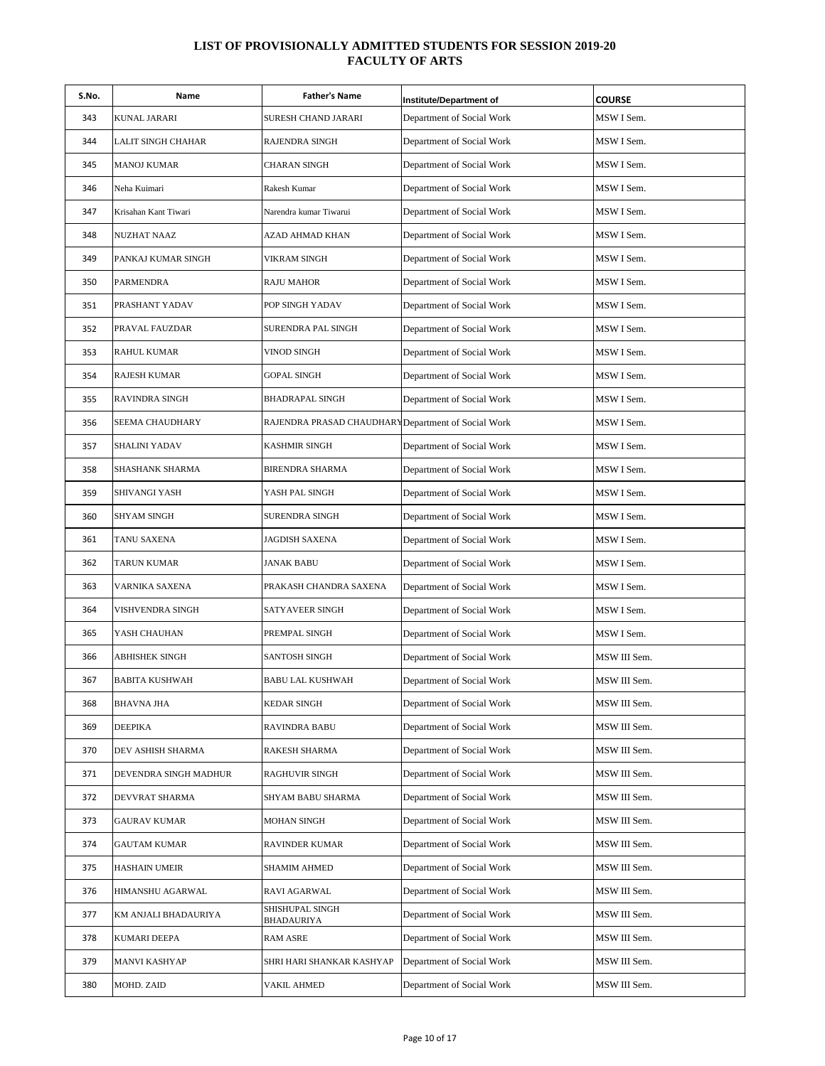| S.No. | Name                  | <b>Father's Name</b>                                | Institute/Department of   | <b>COURSE</b> |
|-------|-----------------------|-----------------------------------------------------|---------------------------|---------------|
| 343   | <b>KUNAL JARARI</b>   | SURESH CHAND JARARI                                 | Department of Social Work | MSW I Sem.    |
| 344   | LALIT SINGH CHAHAR    | RAJENDRA SINGH                                      | Department of Social Work | MSW I Sem.    |
| 345   | MANOJ KUMAR           | <b>CHARAN SINGH</b>                                 | Department of Social Work | MSW I Sem.    |
| 346   | Neha Kuimari          | Rakesh Kumar                                        | Department of Social Work | MSW I Sem.    |
| 347   | Krisahan Kant Tiwari  | Narendra kumar Tiwarui                              | Department of Social Work | MSW I Sem.    |
| 348   | <b>NUZHAT NAAZ</b>    | AZAD AHMAD KHAN                                     | Department of Social Work | MSW I Sem.    |
| 349   | PANKAJ KUMAR SINGH    | VIKRAM SINGH                                        | Department of Social Work | MSW I Sem.    |
| 350   | PARMENDRA             | RAJU MAHOR                                          | Department of Social Work | MSW I Sem.    |
| 351   | PRASHANT YADAV        | POP SINGH YADAV                                     | Department of Social Work | MSW I Sem.    |
| 352   | PRAVAL FAUZDAR        | SURENDRA PAL SINGH                                  | Department of Social Work | MSW I Sem.    |
| 353   | <b>RAHUL KUMAR</b>    | VINOD SINGH                                         | Department of Social Work | MSW I Sem.    |
| 354   | <b>RAJESH KUMAR</b>   | <b>GOPAL SINGH</b>                                  | Department of Social Work | MSW I Sem.    |
| 355   | <b>RAVINDRA SINGH</b> | BHADRAPAL SINGH                                     | Department of Social Work | MSW I Sem.    |
| 356   | SEEMA CHAUDHARY       | RAJENDRA PRASAD CHAUDHARY Department of Social Work |                           | MSW I Sem.    |
| 357   | <b>SHALINI YADAV</b>  | KASHMIR SINGH                                       | Department of Social Work | MSW I Sem.    |
| 358   | SHASHANK SHARMA       | BIRENDRA SHARMA                                     | Department of Social Work | MSW I Sem.    |
| 359   | SHIVANGI YASH         | YASH PAL SINGH                                      | Department of Social Work | MSW I Sem.    |
| 360   | <b>SHYAM SINGH</b>    | SURENDRA SINGH                                      | Department of Social Work | MSW I Sem.    |
| 361   | TANU SAXENA           | JAGDISH SAXENA                                      | Department of Social Work | MSW I Sem.    |
| 362   | TARUN KUMAR           | JANAK BABU                                          | Department of Social Work | MSW I Sem.    |
| 363   | VARNIKA SAXENA        | PRAKASH CHANDRA SAXENA                              | Department of Social Work | MSW I Sem.    |
| 364   | VISHVENDRA SINGH      | SATYAVEER SINGH                                     | Department of Social Work | MSW I Sem.    |
| 365   | YASH CHAUHAN          | PREMPAL SINGH                                       | Department of Social Work | MSW I Sem.    |
| 366   | ABHISHEK SINGH        | SANTOSH SINGH                                       | Department of Social Work | MSW III Sem.  |
| 367   | <b>BABITA KUSHWAH</b> | <b>BABU LAL KUSHWAH</b>                             | Department of Social Work | MSW III Sem.  |
| 368   | BHAVNA JHA            | KEDAR SINGH                                         | Department of Social Work | MSW III Sem.  |
| 369   | <b>DEEPIKA</b>        | <b>RAVINDRA BABU</b>                                | Department of Social Work | MSW III Sem.  |
| 370   | DEV ASHISH SHARMA     | RAKESH SHARMA                                       | Department of Social Work | MSW III Sem.  |
| 371   | DEVENDRA SINGH MADHUR | RAGHUVIR SINGH                                      | Department of Social Work | MSW III Sem.  |
| 372   | DEVVRAT SHARMA        | SHYAM BABU SHARMA                                   | Department of Social Work | MSW III Sem.  |
| 373   | <b>GAURAV KUMAR</b>   | MOHAN SINGH                                         | Department of Social Work | MSW III Sem.  |
| 374   | <b>GAUTAM KUMAR</b>   | RAVINDER KUMAR                                      | Department of Social Work | MSW III Sem.  |
| 375   | <b>HASHAIN UMEIR</b>  | SHAMIM AHMED                                        | Department of Social Work | MSW III Sem.  |
| 376   | HIMANSHU AGARWAL      | RAVI AGARWAL                                        | Department of Social Work | MSW III Sem.  |
| 377   | KM ANJALI BHADAURIYA  | SHISHUPAL SINGH<br>BHADAURIYA                       | Department of Social Work | MSW III Sem.  |
| 378   | KUMARI DEEPA          | RAM ASRE                                            | Department of Social Work | MSW III Sem.  |
| 379   | <b>MANVI KASHYAP</b>  | SHRI HARI SHANKAR KASHYAP                           | Department of Social Work | MSW III Sem.  |
| 380   | MOHD. ZAID            | VAKIL AHMED                                         | Department of Social Work | MSW III Sem.  |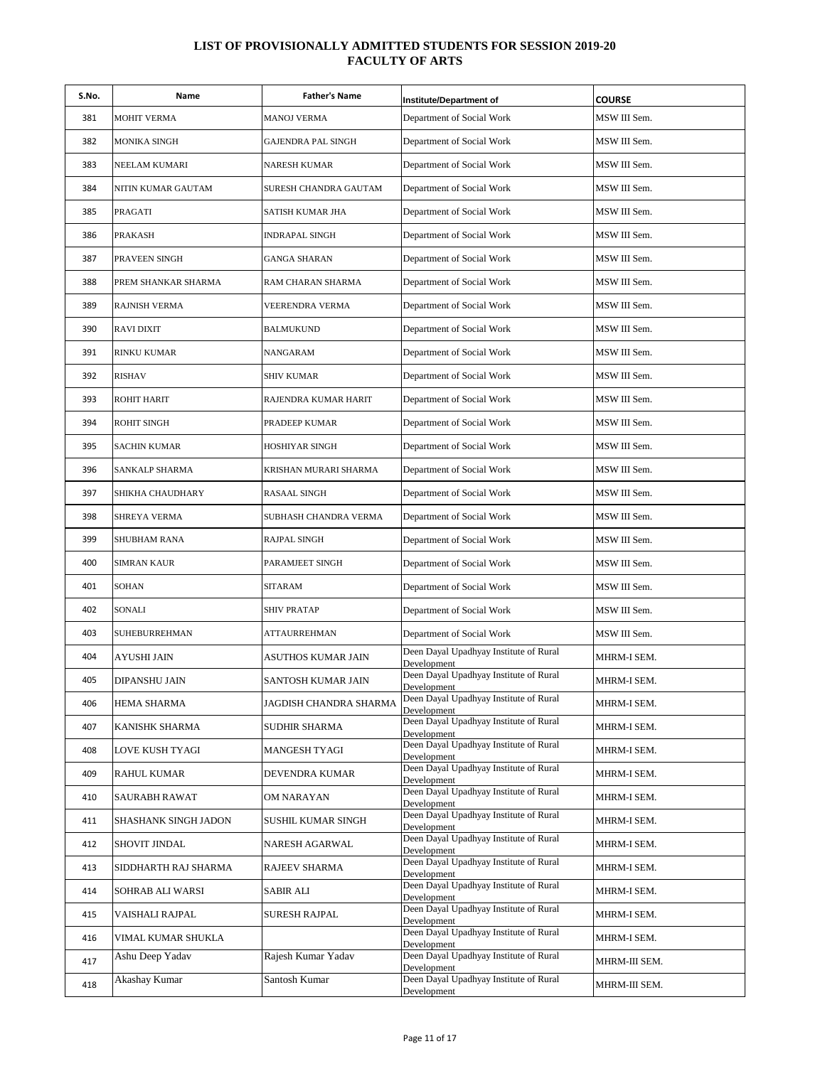| S.No. | Name                 | <b>Father's Name</b>   | <b>Institute/Department of</b>                        | <b>COURSE</b> |
|-------|----------------------|------------------------|-------------------------------------------------------|---------------|
| 381   | <b>MOHIT VERMA</b>   | <b>MANOJ VERMA</b>     | Department of Social Work                             | MSW III Sem.  |
| 382   | MONIKA SINGH         | GAJENDRA PAL SINGH     | Department of Social Work                             | MSW III Sem.  |
| 383   | NEELAM KUMARI        | NARESH KUMAR           | Department of Social Work                             | MSW III Sem.  |
| 384   | NITIN KUMAR GAUTAM   | SURESH CHANDRA GAUTAM  | Department of Social Work                             | MSW III Sem.  |
| 385   | PRAGATI              | SATISH KUMAR JHA       | Department of Social Work                             | MSW III Sem.  |
| 386   | <b>PRAKASH</b>       | INDRAPAL SINGH         | Department of Social Work                             | MSW III Sem.  |
| 387   | PRAVEEN SINGH        | GANGA SHARAN           | Department of Social Work                             | MSW III Sem.  |
| 388   | PREM SHANKAR SHARMA  | RAM CHARAN SHARMA      | Department of Social Work                             | MSW III Sem.  |
| 389   | <b>RAJNISH VERMA</b> | VEERENDRA VERMA        | Department of Social Work                             | MSW III Sem.  |
| 390   | <b>RAVI DIXIT</b>    | BALMUKUND              | Department of Social Work                             | MSW III Sem.  |
| 391   | <b>RINKU KUMAR</b>   | NANGARAM               | Department of Social Work                             | MSW III Sem.  |
| 392   | <b>RISHAV</b>        | <b>SHIV KUMAR</b>      | Department of Social Work                             | MSW III Sem.  |
| 393   | <b>ROHIT HARIT</b>   | RAJENDRA KUMAR HARIT   | Department of Social Work                             | MSW III Sem.  |
| 394   | <b>ROHIT SINGH</b>   | PRADEEP KUMAR          | Department of Social Work                             | MSW III Sem.  |
| 395   | <b>SACHIN KUMAR</b>  | HOSHIYAR SINGH         | Department of Social Work                             | MSW III Sem.  |
| 396   | SANKALP SHARMA       | KRISHAN MURARI SHARMA  | Department of Social Work                             | MSW III Sem.  |
| 397   | SHIKHA CHAUDHARY     | RASAAL SINGH           | Department of Social Work                             | MSW III Sem.  |
| 398   | SHREYA VERMA         | SUBHASH CHANDRA VERMA  | Department of Social Work                             | MSW III Sem.  |
| 399   | SHUBHAM RANA         | RAJPAL SINGH           | Department of Social Work                             | MSW III Sem.  |
| 400   | <b>SIMRAN KAUR</b>   | PARAMJEET SINGH        | Department of Social Work                             | MSW III Sem.  |
| 401   | <b>SOHAN</b>         | <b>SITARAM</b>         | Department of Social Work                             | MSW III Sem.  |
| 402   | SONALI               | SHIV PRATAP            | Department of Social Work                             | MSW III Sem.  |
| 403   | SUHEBURREHMAN        | <b>ATTAURREHMAN</b>    | Department of Social Work                             | MSW III Sem.  |
| 404   | AYUSHI JAIN          | ASUTHOS KUMAR JAIN     | Deen Dayal Upadhyay Institute of Rural<br>Development | MHRM-I SEM.   |
| 405   | DIPANSHU JAIN        | SANTOSH KUMAR JAIN     | Deen Dayal Upadhyay Institute of Rural<br>Development | MHRM-I SEM.   |
| 406   | HEMA SHARMA          | JAGDISH CHANDRA SHARMA | Deen Dayal Upadhyay Institute of Rural<br>Development | MHRM-I SEM.   |
| 407   | KANISHK SHARMA       | SUDHIR SHARMA          | Deen Dayal Upadhyay Institute of Rural<br>Development | MHRM-I SEM.   |
| 408   | LOVE KUSH TYAGI      | <b>MANGESH TYAGI</b>   | Deen Dayal Upadhyay Institute of Rural<br>Development | MHRM-I SEM.   |
| 409   | <b>RAHUL KUMAR</b>   | DEVENDRA KUMAR         | Deen Dayal Upadhyay Institute of Rural<br>Development | MHRM-I SEM.   |
| 410   | SAURABH RAWAT        | OM NARAYAN             | Deen Dayal Upadhyay Institute of Rural<br>Development | MHRM-I SEM.   |
| 411   | SHASHANK SINGH JADON | SUSHIL KUMAR SINGH     | Deen Dayal Upadhyay Institute of Rural<br>Development | MHRM-I SEM.   |
| 412   | SHOVIT JINDAL        | NARESH AGARWAL         | Deen Dayal Upadhyay Institute of Rural<br>Development | MHRM-I SEM.   |
| 413   | SIDDHARTH RAJ SHARMA | RAJEEV SHARMA          | Deen Dayal Upadhyay Institute of Rural<br>Development | MHRM-I SEM.   |
| 414   | SOHRAB ALI WARSI     | <b>SABIR ALI</b>       | Deen Dayal Upadhyay Institute of Rural<br>Development | MHRM-I SEM.   |
| 415   | VAISHALI RAJPAL      | SURESH RAJPAL          | Deen Dayal Upadhyay Institute of Rural<br>Development | MHRM-I SEM.   |
| 416   | VIMAL KUMAR SHUKLA   |                        | Deen Dayal Upadhyay Institute of Rural<br>Development | MHRM-I SEM.   |
| 417   | Ashu Deep Yadav      | Rajesh Kumar Yadav     | Deen Dayal Upadhyay Institute of Rural<br>Development | MHRM-III SEM. |
| 418   | Akashay Kumar        | Santosh Kumar          | Deen Dayal Upadhyay Institute of Rural<br>Development | MHRM-III SEM. |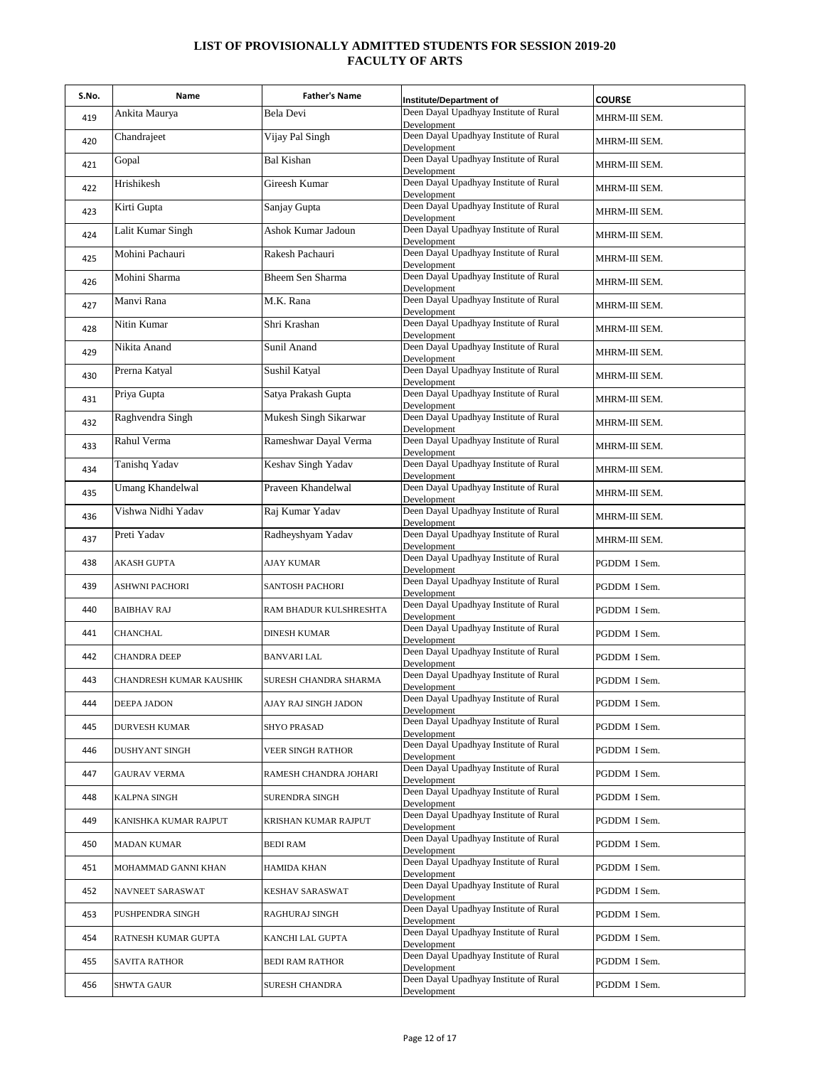| S.No. | Name                    | <b>Father's Name</b>   | Institute/Department of                               | <b>COURSE</b> |
|-------|-------------------------|------------------------|-------------------------------------------------------|---------------|
| 419   | Ankita Maurya           | Bela Devi              | Deen Dayal Upadhyay Institute of Rural<br>Development | MHRM-III SEM. |
| 420   | Chandrajeet             | Vijay Pal Singh        | Deen Dayal Upadhyay Institute of Rural<br>Development | MHRM-III SEM. |
| 421   | Gopal                   | <b>Bal Kishan</b>      | Deen Dayal Upadhyay Institute of Rural<br>Development | MHRM-III SEM. |
| 422   | Hrishikesh              | Gireesh Kumar          | Deen Dayal Upadhyay Institute of Rural<br>Development | MHRM-III SEM. |
| 423   | Kirti Gupta             | Sanjay Gupta           | Deen Dayal Upadhyay Institute of Rural<br>Development | MHRM-III SEM. |
| 424   | Lalit Kumar Singh       | Ashok Kumar Jadoun     | Deen Dayal Upadhyay Institute of Rural<br>Development | MHRM-III SEM. |
| 425   | Mohini Pachauri         | Rakesh Pachauri        | Deen Dayal Upadhyay Institute of Rural<br>Development | MHRM-III SEM. |
| 426   | Mohini Sharma           | Bheem Sen Sharma       | Deen Dayal Upadhyay Institute of Rural<br>Development | MHRM-III SEM. |
| 427   | Manvi Rana              | M.K. Rana              | Deen Dayal Upadhyay Institute of Rural<br>Development | MHRM-III SEM. |
| 428   | Nitin Kumar             | Shri Krashan           | Deen Dayal Upadhyay Institute of Rural<br>Development | MHRM-III SEM. |
| 429   | Nikita Anand            | Sunil Anand            | Deen Dayal Upadhyay Institute of Rural                | MHRM-III SEM. |
| 430   | Prerna Katyal           | Sushil Katyal          | Development<br>Deen Dayal Upadhyay Institute of Rural | MHRM-III SEM. |
| 431   | Priya Gupta             | Satya Prakash Gupta    | Development<br>Deen Dayal Upadhyay Institute of Rural | MHRM-III SEM. |
| 432   | Raghvendra Singh        | Mukesh Singh Sikarwar  | Development<br>Deen Dayal Upadhyay Institute of Rural | MHRM-III SEM. |
| 433   | Rahul Verma             | Rameshwar Dayal Verma  | Development<br>Deen Dayal Upadhyay Institute of Rural | MHRM-III SEM. |
| 434   | Tanishq Yadav           | Keshav Singh Yadav     | Development<br>Deen Dayal Upadhyay Institute of Rural | MHRM-III SEM. |
| 435   | <b>Umang Khandelwal</b> | Praveen Khandelwal     | Development<br>Deen Dayal Upadhyay Institute of Rural | MHRM-III SEM. |
| 436   | Vishwa Nidhi Yadav      | Raj Kumar Yadav        | Development<br>Deen Dayal Upadhyay Institute of Rural | MHRM-III SEM. |
| 437   | Preti Yadav             | Radheyshyam Yadav      | Development<br>Deen Dayal Upadhyay Institute of Rural | MHRM-III SEM. |
| 438   | AKASH GUPTA             | <b>AJAY KUMAR</b>      | Development<br>Deen Dayal Upadhyay Institute of Rural | PGDDM I Sem.  |
| 439   | ASHWNI PACHORI          | SANTOSH PACHORI        | Development<br>Deen Dayal Upadhyay Institute of Rural | PGDDM I Sem.  |
| 440   | <b>BAIBHAV RAJ</b>      | RAM BHADUR KULSHRESHTA | Development<br>Deen Dayal Upadhyay Institute of Rural | PGDDM I Sem.  |
| 441   | CHANCHAL                | DINESH KUMAR           | Development<br>Deen Dayal Upadhyay Institute of Rural | PGDDM I Sem.  |
| 442   |                         | <b>BANVARI LAL</b>     | Development<br>Deen Dayal Upadhyay Institute of Rural | PGDDM I Sem.  |
|       | <b>CHANDRA DEEP</b>     |                        | Development<br>Deen Dayal Upadhyay Institute of Rural |               |
| 443   | CHANDRESH KUMAR KAUSHIK | SURESH CHANDRA SHARMA  | Development<br>Deen Dayal Upadhyay Institute of Rural | PGDDM I Sem.  |
| 444   | DEEPA JADON             | AJAY RAJ SINGH JADON   | Development<br>Deen Dayal Upadhyay Institute of Rural | PGDDM I Sem.  |
| 445   | <b>DURVESH KUMAR</b>    | <b>SHYO PRASAD</b>     | Development<br>Deen Dayal Upadhyay Institute of Rural | PGDDM I Sem.  |
| 446   | <b>DUSHYANT SINGH</b>   | VEER SINGH RATHOR      | Development<br>Deen Dayal Upadhyay Institute of Rural | PGDDM I Sem.  |
| 447   | <b>GAURAV VERMA</b>     | RAMESH CHANDRA JOHARI  | Development<br>Deen Dayal Upadhyay Institute of Rural | PGDDM I Sem.  |
| 448   | <b>KALPNA SINGH</b>     | SURENDRA SINGH         | Development<br>Deen Dayal Upadhyay Institute of Rural | PGDDM I Sem.  |
| 449   | KANISHKA KUMAR RAJPUT   | KRISHAN KUMAR RAJPUT   | Development<br>Deen Dayal Upadhyay Institute of Rural | PGDDM I Sem.  |
| 450   | <b>MADAN KUMAR</b>      | BEDI RAM               | Development<br>Deen Dayal Upadhyay Institute of Rural | PGDDM I Sem.  |
| 451   | MOHAMMAD GANNI KHAN     | HAMIDA KHAN            | Development<br>Deen Dayal Upadhyay Institute of Rural | PGDDM I Sem.  |
| 452   | NAVNEET SARASWAT        | KESHAV SARASWAT        | Development<br>Deen Dayal Upadhyay Institute of Rural | PGDDM I Sem.  |
| 453   | PUSHPENDRA SINGH        | RAGHURAJ SINGH         | Development                                           | PGDDM I Sem.  |
| 454   | RATNESH KUMAR GUPTA     | KANCHI LAL GUPTA       | Deen Dayal Upadhyay Institute of Rural<br>Development | PGDDM I Sem.  |
| 455   | <b>SAVITA RATHOR</b>    | <b>BEDI RAM RATHOR</b> | Deen Dayal Upadhyay Institute of Rural<br>Development | PGDDM I Sem.  |
| 456   | SHWTA GAUR              | <b>SURESH CHANDRA</b>  | Deen Dayal Upadhyay Institute of Rural<br>Development | PGDDM I Sem.  |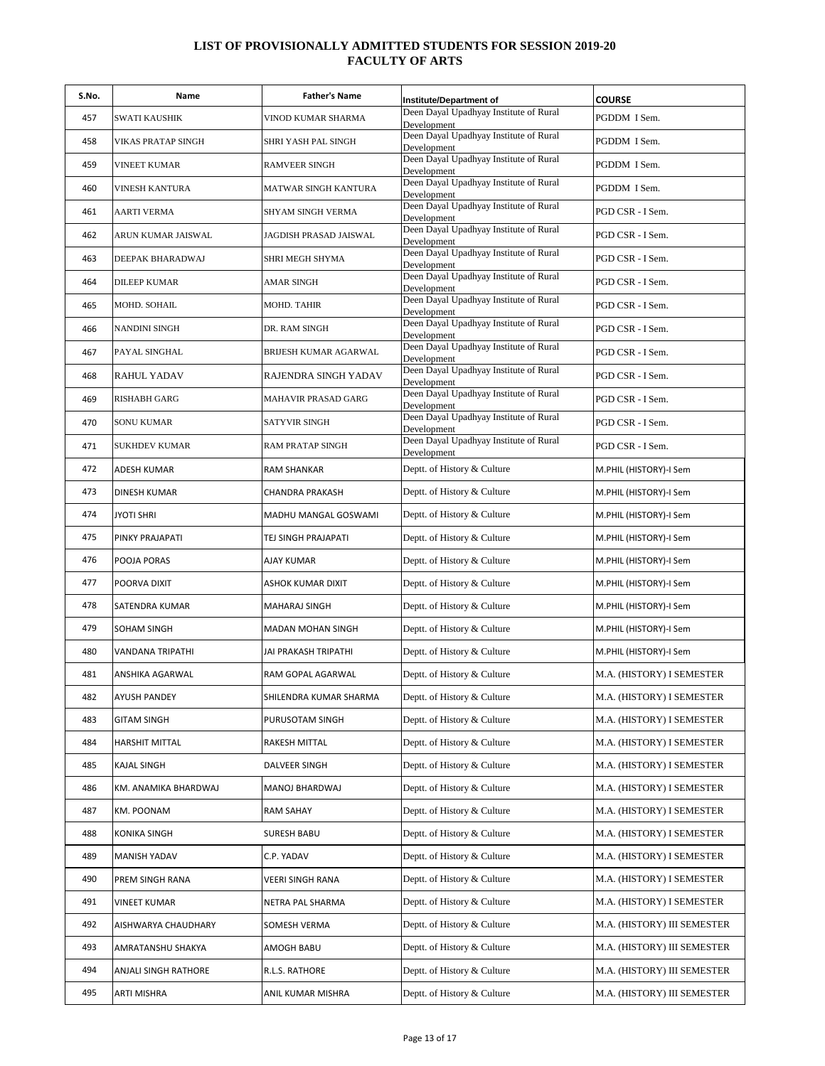| S.No. | Name                    | <b>Father's Name</b>       | Institute/Department of                               | <b>COURSE</b>               |
|-------|-------------------------|----------------------------|-------------------------------------------------------|-----------------------------|
| 457   | SWATI KAUSHIK           | VINOD KUMAR SHARMA         | Deen Dayal Upadhyay Institute of Rural<br>Development | PGDDM I Sem.                |
| 458   | VIKAS PRATAP SINGH      | SHRI YASH PAL SINGH        | Deen Dayal Upadhyay Institute of Rural<br>Development | PGDDM I Sem.                |
| 459   | VINEET KUMAR            | <b>RAMVEER SINGH</b>       | Deen Dayal Upadhyay Institute of Rural<br>Development | PGDDM I Sem.                |
| 460   | VINESH KANTURA          | MATWAR SINGH KANTURA       | Deen Dayal Upadhyay Institute of Rural<br>Development | PGDDM I Sem.                |
| 461   | <b>AARTI VERMA</b>      | SHYAM SINGH VERMA          | Deen Dayal Upadhyay Institute of Rural<br>Development | PGD CSR - I Sem.            |
| 462   | ARUN KUMAR JAISWAL      | JAGDISH PRASAD JAISWAL     | Deen Dayal Upadhyay Institute of Rural<br>Development | PGD CSR - I Sem.            |
| 463   | DEEPAK BHARADWAJ        | SHRI MEGH SHYMA            | Deen Dayal Upadhyay Institute of Rural<br>Development | PGD CSR - I Sem.            |
| 464   | <b>DILEEP KUMAR</b>     | AMAR SINGH                 | Deen Dayal Upadhyay Institute of Rural<br>Development | PGD CSR - I Sem.            |
| 465   | MOHD. SOHAIL            | MOHD. TAHIR                | Deen Dayal Upadhyay Institute of Rural<br>Development | PGD CSR - I Sem.            |
| 466   | NANDINI SINGH           | DR. RAM SINGH              | Deen Dayal Upadhyay Institute of Rural<br>Development | PGD CSR - I Sem.            |
| 467   | PAYAL SINGHAL           | BRIJESH KUMAR AGARWAL      | Deen Dayal Upadhyay Institute of Rural<br>Development | PGD CSR - I Sem.            |
| 468   | RAHUL YADAV             | RAJENDRA SINGH YADAV       | Deen Dayal Upadhyay Institute of Rural<br>Development | PGD CSR - I Sem.            |
| 469   | RISHABH GARG            | <b>MAHAVIR PRASAD GARG</b> | Deen Dayal Upadhyay Institute of Rural<br>Development | PGD CSR - I Sem.            |
| 470   | SONU KUMAR              | <b>SATYVIR SINGH</b>       | Deen Dayal Upadhyay Institute of Rural<br>Development | PGD CSR - I Sem.            |
| 471   | <b>SUKHDEV KUMAR</b>    | <b>RAM PRATAP SINGH</b>    | Deen Dayal Upadhyay Institute of Rural<br>Development | PGD CSR - I Sem.            |
| 472   | <b>ADESH KUMAR</b>      | <b>RAM SHANKAR</b>         | Deptt. of History & Culture                           | M.PHIL (HISTORY)-I Sem      |
| 473   | <b>DINESH KUMAR</b>     | CHANDRA PRAKASH            | Deptt. of History & Culture                           | M.PHIL (HISTORY)-I Sem      |
| 474   | <b>JYOTI SHRI</b>       | MADHU MANGAL GOSWAMI       | Deptt. of History & Culture                           | M.PHIL (HISTORY)-I Sem      |
| 475   | PINKY PRAJAPATI         | TEJ SINGH PRAJAPATI        | Deptt. of History & Culture                           | M.PHIL (HISTORY)-I Sem      |
| 476   | POOJA PORAS             | AJAY KUMAR                 | Deptt. of History & Culture                           | M.PHIL (HISTORY)-I Sem      |
| 477   | POORVA DIXIT            | ASHOK KUMAR DIXIT          | Deptt. of History & Culture                           | M.PHIL (HISTORY)-I Sem      |
| 478   | SATENDRA KUMAR          | <b>MAHARAJ SINGH</b>       | Deptt. of History & Culture                           | M.PHIL (HISTORY)-I Sem      |
| 479   | SOHAM SINGH             | <b>MADAN MOHAN SINGH</b>   | Deptt. of History & Culture                           | M.PHIL (HISTORY)-I Sem      |
| 480   | <b>VANDANA TRIPATHI</b> | JAI PRAKASH TRIPATHI       | Deptt. of History & Culture                           | M.PHIL (HISTORY)-I Sem      |
| 481   | ANSHIKA AGARWAL         | RAM GOPAL AGARWAL          | Deptt. of History & Culture                           | M.A. (HISTORY) I SEMESTER   |
| 482   | <b>AYUSH PANDEY</b>     | SHILENDRA KUMAR SHARMA     | Deptt. of History & Culture                           | M.A. (HISTORY) I SEMESTER   |
| 483   | <b>GITAM SINGH</b>      | PURUSOTAM SINGH            | Deptt. of History & Culture                           | M.A. (HISTORY) I SEMESTER   |
| 484   | <b>HARSHIT MITTAL</b>   | RAKESH MITTAL              | Deptt. of History & Culture                           | M.A. (HISTORY) I SEMESTER   |
| 485   | KAJAL SINGH             | DALVEER SINGH              | Deptt. of History & Culture                           | M.A. (HISTORY) I SEMESTER   |
| 486   | KM. ANAMIKA BHARDWAJ    | MANOJ BHARDWAJ             | Deptt. of History & Culture                           | M.A. (HISTORY) I SEMESTER   |
| 487   | KM. POONAM              | <b>RAM SAHAY</b>           | Deptt. of History & Culture                           | M.A. (HISTORY) I SEMESTER   |
| 488   | KONIKA SINGH            | <b>SURESH BABU</b>         | Deptt. of History & Culture                           | M.A. (HISTORY) I SEMESTER   |
| 489   | <b>MANISH YADAV</b>     | C.P. YADAV                 | Deptt. of History & Culture                           | M.A. (HISTORY) I SEMESTER   |
| 490   | PREM SINGH RANA         | VEERI SINGH RANA           | Deptt. of History & Culture                           | M.A. (HISTORY) I SEMESTER   |
| 491   | <b>VINEET KUMAR</b>     | NETRA PAL SHARMA           | Deptt. of History & Culture                           | M.A. (HISTORY) I SEMESTER   |
| 492   | AISHWARYA CHAUDHARY     | SOMESH VERMA               | Deptt. of History & Culture                           | M.A. (HISTORY) III SEMESTER |
| 493   | AMRATANSHU SHAKYA       | AMOGH BABU                 | Deptt. of History & Culture                           | M.A. (HISTORY) III SEMESTER |
| 494   | ANJALI SINGH RATHORE    | R.L.S. RATHORE             | Deptt. of History & Culture                           | M.A. (HISTORY) III SEMESTER |
| 495   | ARTI MISHRA             | ANIL KUMAR MISHRA          | Deptt. of History & Culture                           | M.A. (HISTORY) III SEMESTER |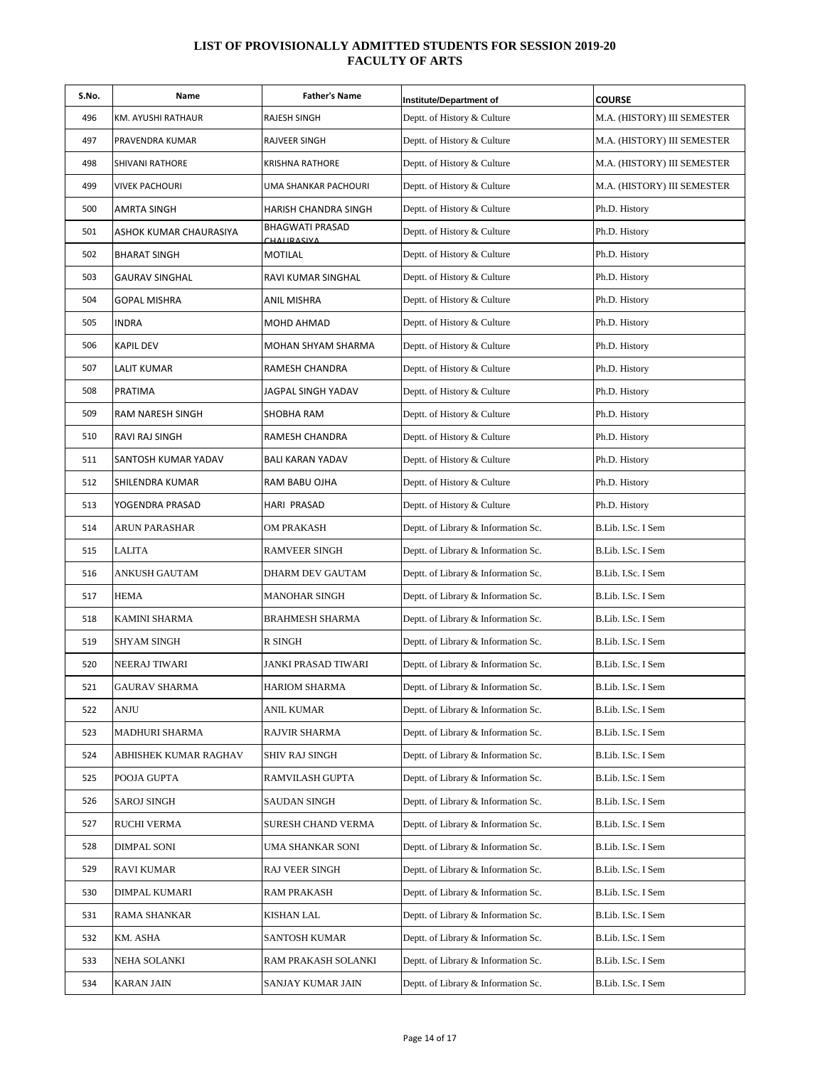| S.No. | Name                   | <b>Father's Name</b>           | Institute/Department of             | <b>COURSE</b>               |
|-------|------------------------|--------------------------------|-------------------------------------|-----------------------------|
| 496   | KM. AYUSHI RATHAUR     | RAJESH SINGH                   | Deptt. of History & Culture         | M.A. (HISTORY) III SEMESTER |
| 497   | PRAVENDRA KUMAR        | RAJVEER SINGH                  | Deptt. of History & Culture         | M.A. (HISTORY) III SEMESTER |
| 498   | SHIVANI RATHORE        | KRISHNA RATHORE                | Deptt. of History & Culture         | M.A. (HISTORY) III SEMESTER |
| 499   | <b>VIVEK PACHOURI</b>  | UMA SHANKAR PACHOURI           | Deptt. of History & Culture         | M.A. (HISTORY) III SEMESTER |
| 500   | AMRTA SINGH            | HARISH CHANDRA SINGH           | Deptt. of History & Culture         | Ph.D. History               |
| 501   | ASHOK KUMAR CHAURASIYA | BHAGWATI PRASAD<br>CHALIRASIVA | Deptt. of History & Culture         | Ph.D. History               |
| 502   | <b>BHARAT SINGH</b>    | MOTILAL                        | Deptt. of History & Culture         | Ph.D. History               |
| 503   | <b>GAURAV SINGHAL</b>  | RAVI KUMAR SINGHAL             | Deptt. of History & Culture         | Ph.D. History               |
| 504   | GOPAL MISHRA           | ANIL MISHRA                    | Deptt. of History & Culture         | Ph.D. History               |
| 505   | <b>INDRA</b>           | MOHD AHMAD                     | Deptt. of History & Culture         | Ph.D. History               |
| 506   | <b>KAPIL DEV</b>       | MOHAN SHYAM SHARMA             | Deptt. of History & Culture         | Ph.D. History               |
| 507   | LALIT KUMAR            | RAMESH CHANDRA                 | Deptt. of History & Culture         | Ph.D. History               |
| 508   | PRATIMA                | JAGPAL SINGH YADAV             | Deptt. of History & Culture         | Ph.D. History               |
| 509   | RAM NARESH SINGH       | SHOBHA RAM                     | Deptt. of History & Culture         | Ph.D. History               |
| 510   | RAVI RAJ SINGH         | RAMESH CHANDRA                 | Deptt. of History & Culture         | Ph.D. History               |
| 511   | SANTOSH KUMAR YADAV    | <b>BALI KARAN YADAV</b>        | Deptt. of History & Culture         | Ph.D. History               |
| 512   | SHILENDRA KUMAR        | RAM BABU OJHA                  | Deptt. of History & Culture         | Ph.D. History               |
| 513   | YOGENDRA PRASAD        | HARI PRASAD                    | Deptt. of History & Culture         | Ph.D. History               |
| 514   | ARUN PARASHAR          | OM PRAKASH                     | Deptt. of Library & Information Sc. | B.Lib. I.Sc. I Sem          |
| 515   | LALITA                 | RAMVEER SINGH                  | Deptt. of Library & Information Sc. | B.Lib. I.Sc. I Sem          |
| 516   | ANKUSH GAUTAM          | DHARM DEV GAUTAM               | Deptt. of Library & Information Sc. | B.Lib. I.Sc. I Sem          |
| 517   | <b>HEMA</b>            | MANOHAR SINGH                  | Deptt. of Library & Information Sc. | B.Lib. I.Sc. I Sem          |
| 518   | <b>KAMINI SHARMA</b>   | BRAHMESH SHARMA                | Deptt. of Library & Information Sc. | B.Lib. I.Sc. I Sem          |
| 519   | SHYAM SINGH            | R SINGH                        | Deptt. of Library & Information Sc. | B.Lib. I.Sc. I Sem          |
| 520   | NEERAJ TIWARI          | JANKI PRASAD TIWARI            | Deptt. of Library & Information Sc. | B.Lib. I.Sc. I Sem          |
| 521   | <b>GAURAV SHARMA</b>   | HARIOM SHARMA                  | Deptt. of Library & Information Sc. | B.Lib. I.Sc. I Sem          |
| 522   | ANJU                   | ANIL KUMAR                     | Deptt. of Library & Information Sc. | B.Lib. I.Sc. I Sem          |
| 523   | MADHURI SHARMA         | RAJVIR SHARMA                  | Deptt. of Library & Information Sc. | B.Lib. I.Sc. I Sem          |
| 524   | ABHISHEK KUMAR RAGHAV  | SHIV RAJ SINGH                 | Deptt. of Library & Information Sc. | B.Lib. I.Sc. I Sem          |
| 525   | POOJA GUPTA            | RAMVILASH GUPTA                | Deptt. of Library & Information Sc. | B.Lib. I.Sc. I Sem          |
| 526   | SAROJ SINGH            | SAUDAN SINGH                   | Deptt. of Library & Information Sc. | B.Lib. I.Sc. I Sem          |
| 527   | <b>RUCHI VERMA</b>     | SURESH CHAND VERMA             | Deptt. of Library & Information Sc. | B.Lib. I.Sc. I Sem          |
| 528   | DIMPAL SONI            | UMA SHANKAR SONI               | Deptt. of Library & Information Sc. | B.Lib. I.Sc. I Sem          |
| 529   | RAVI KUMAR             | RAJ VEER SINGH                 | Deptt. of Library & Information Sc. | B.Lib. I.Sc. I Sem          |
| 530   | DIMPAL KUMARI          | RAM PRAKASH                    | Deptt. of Library & Information Sc. | B.Lib. I.Sc. I Sem          |
| 531   | RAMA SHANKAR           | KISHAN LAL                     | Deptt. of Library & Information Sc. | B.Lib. I.Sc. I Sem          |
| 532   | KM. ASHA               | SANTOSH KUMAR                  | Deptt. of Library & Information Sc. | B.Lib. I.Sc. I Sem          |
| 533   | NEHA SOLANKI           | RAM PRAKASH SOLANKI            | Deptt. of Library & Information Sc. | B.Lib. I.Sc. I Sem          |
| 534   | <b>KARAN JAIN</b>      | SANJAY KUMAR JAIN              | Deptt. of Library & Information Sc. | B.Lib. I.Sc. I Sem          |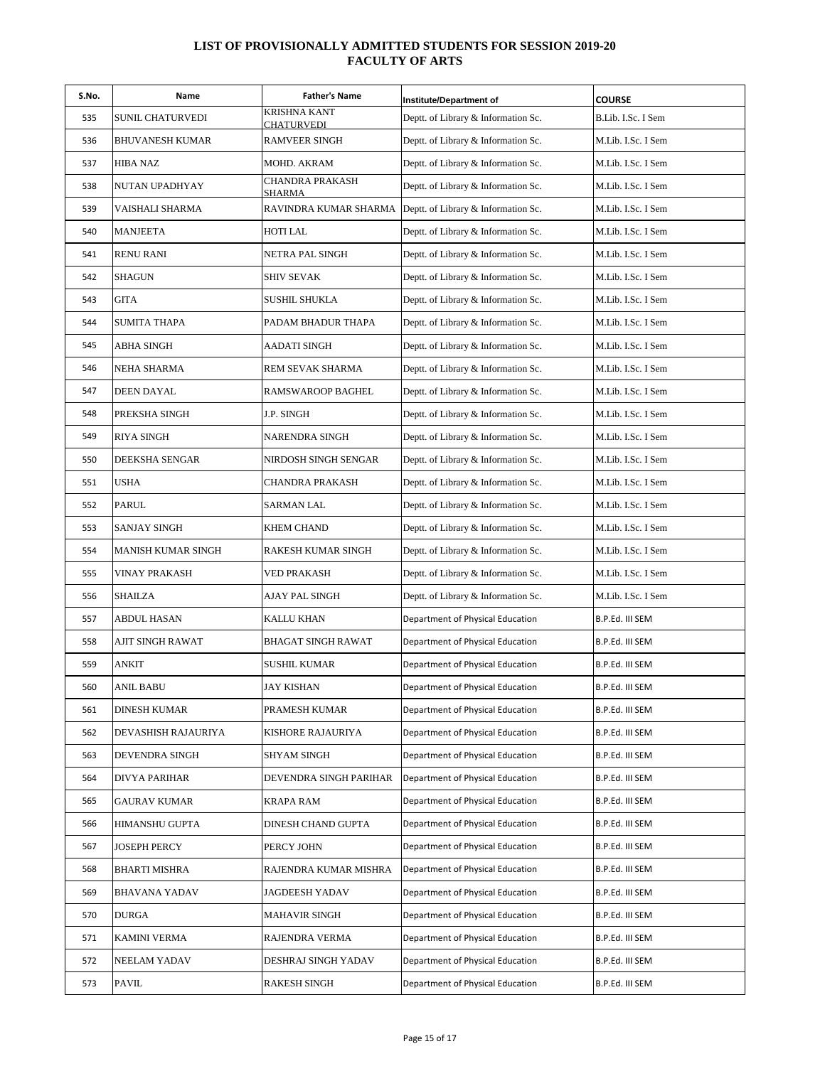| S.No. | Name                  | <b>Father's Name</b>       | Institute/Department of             | <b>COURSE</b>      |
|-------|-----------------------|----------------------------|-------------------------------------|--------------------|
| 535   | SUNIL CHATURVEDI      | KRISHNA KANT<br>CHATURVEDI | Deptt. of Library & Information Sc. | B.Lib. I.Sc. I Sem |
| 536   | BHUVANESH KUMAR       | <b>RAMVEER SINGH</b>       | Deptt. of Library & Information Sc. | M.Lib. I.Sc. I Sem |
| 537   | HIBA NAZ              | MOHD. AKRAM                | Deptt. of Library & Information Sc. | M.Lib. I.Sc. I Sem |
| 538   | NUTAN UPADHYAY        | CHANDRA PRAKASH<br>SHARMA  | Deptt. of Library & Information Sc. | M.Lib. I.Sc. I Sem |
| 539   | VAISHALI SHARMA       | RAVINDRA KUMAR SHARMA      | Deptt. of Library & Information Sc. | M.Lib. I.Sc. I Sem |
| 540   | <b>MANJEETA</b>       | HOTI LAL                   | Deptt. of Library & Information Sc. | M.Lib. I.Sc. I Sem |
| 541   | <b>RENU RANI</b>      | NETRA PAL SINGH            | Deptt. of Library & Information Sc. | M.Lib. I.Sc. I Sem |
| 542   | <b>SHAGUN</b>         | SHIV SEVAK                 | Deptt. of Library & Information Sc. | M.Lib. I.Sc. I Sem |
| 543   | <b>GITA</b>           | <b>SUSHIL SHUKLA</b>       | Deptt. of Library & Information Sc. | M.Lib. I.Sc. I Sem |
| 544   | <b>SUMITA THAPA</b>   | PADAM BHADUR THAPA         | Deptt. of Library & Information Sc. | M.Lib. I.Sc. I Sem |
| 545   | ABHA SINGH            | AADATI SINGH               | Deptt. of Library & Information Sc. | M.Lib. I.Sc. I Sem |
| 546   | NEHA SHARMA           | REM SEVAK SHARMA           | Deptt. of Library & Information Sc. | M.Lib. I.Sc. I Sem |
| 547   | DEEN DAYAL            | RAMSWAROOP BAGHEL          | Deptt. of Library & Information Sc. | M.Lib. I.Sc. I Sem |
| 548   | PREKSHA SINGH         | J.P. SINGH                 | Deptt. of Library & Information Sc. | M.Lib. I.Sc. I Sem |
| 549   | <b>RIYA SINGH</b>     | NARENDRA SINGH             | Deptt. of Library & Information Sc. | M.Lib. I.Sc. I Sem |
| 550   | <b>DEEKSHA SENGAR</b> | NIRDOSH SINGH SENGAR       | Deptt. of Library & Information Sc. | M.Lib. I.Sc. I Sem |
| 551   | <b>USHA</b>           | CHANDRA PRAKASH            | Deptt. of Library & Information Sc. | M.Lib. I.Sc. I Sem |
| 552   | PARUL                 | SARMAN LAL                 | Deptt. of Library & Information Sc. | M.Lib. I.Sc. I Sem |
| 553   | <b>SANJAY SINGH</b>   | KHEM CHAND                 | Deptt. of Library & Information Sc. | M.Lib. I.Sc. I Sem |
| 554   | MANISH KUMAR SINGH    | RAKESH KUMAR SINGH         | Deptt. of Library & Information Sc. | M.Lib. I.Sc. I Sem |
| 555   | VINAY PRAKASH         | VED PRAKASH                | Deptt. of Library & Information Sc. | M.Lib. I.Sc. I Sem |
| 556   | <b>SHAILZA</b>        | AJAY PAL SINGH             | Deptt. of Library & Information Sc. | M.Lib. I.Sc. I Sem |
| 557   | ABDUL HASAN           | KALLU KHAN                 | Department of Physical Education    | B.P.Ed. III SEM    |
| 558   | AJIT SINGH RAWAT      | <b>BHAGAT SINGH RAWAT</b>  | Department of Physical Education    | B.P.Ed. III SEM    |
| 559   | ANKIT                 | SUSHIL KUMAR               | Department of Physical Education    | B.P.Ed. III SEM    |
| 560   | ANIL BABU             | JAY KISHAN                 | Department of Physical Education    | B.P.Ed. III SEM    |
| 561   | <b>DINESH KUMAR</b>   | PRAMESH KUMAR              | Department of Physical Education    | B.P.Ed. III SEM    |
| 562   | DEVASHISH RAJAURIYA   | KISHORE RAJAURIYA          | Department of Physical Education    | B.P.Ed. III SEM    |
| 563   | DEVENDRA SINGH        | SHYAM SINGH                | Department of Physical Education    | B.P.Ed. III SEM    |
| 564   | <b>DIVYA PARIHAR</b>  | DEVENDRA SINGH PARIHAR     | Department of Physical Education    | B.P.Ed. III SEM    |
| 565   | <b>GAURAV KUMAR</b>   | KRAPA RAM                  | Department of Physical Education    | B.P.Ed. III SEM    |
| 566   | <b>HIMANSHU GUPTA</b> | DINESH CHAND GUPTA         | Department of Physical Education    | B.P.Ed. III SEM    |
| 567   | <b>JOSEPH PERCY</b>   | PERCY JOHN                 | Department of Physical Education    | B.P.Ed. III SEM    |
| 568   | <b>BHARTI MISHRA</b>  | RAJENDRA KUMAR MISHRA      | Department of Physical Education    | B.P.Ed. III SEM    |
| 569   | BHAVANA YADAV         | JAGDEESH YADAV             | Department of Physical Education    | B.P.Ed. III SEM    |
| 570   | <b>DURGA</b>          | <b>MAHAVIR SINGH</b>       | Department of Physical Education    | B.P.Ed. III SEM    |
| 571   | KAMINI VERMA          | RAJENDRA VERMA             | Department of Physical Education    | B.P.Ed. III SEM    |
| 572   | NEELAM YADAV          | DESHRAJ SINGH YADAV        | Department of Physical Education    | B.P.Ed. III SEM    |
| 573   | PAVIL                 | <b>RAKESH SINGH</b>        | Department of Physical Education    | B.P.Ed. III SEM    |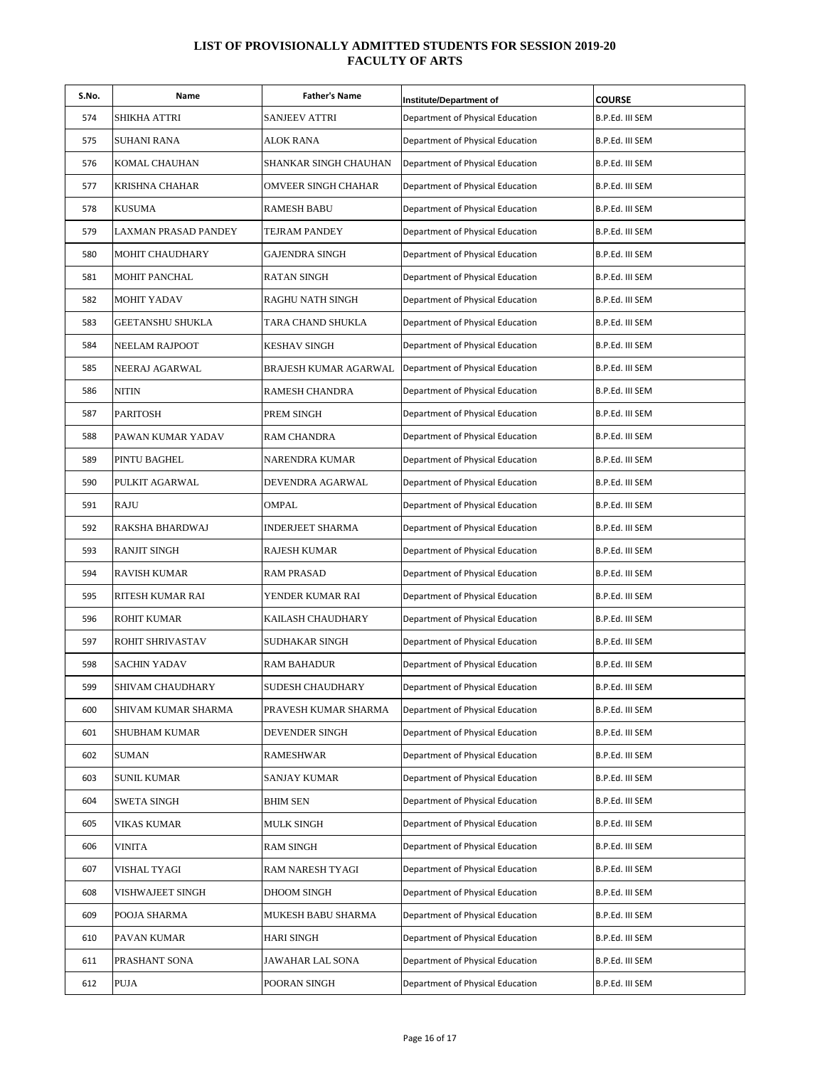| S.No. | Name                    | <b>Father's Name</b>    | Institute/Department of          | <b>COURSE</b>   |
|-------|-------------------------|-------------------------|----------------------------------|-----------------|
| 574   | SHIKHA ATTRI            | SANJEEV ATTRI           | Department of Physical Education | B.P.Ed. III SEM |
| 575   | SUHANI RANA             | ALOK RANA               | Department of Physical Education | B.P.Ed. III SEM |
| 576   | KOMAL CHAUHAN           | SHANKAR SINGH CHAUHAN   | Department of Physical Education | B.P.Ed. III SEM |
| 577   | KRISHNA CHAHAR          | OMVEER SINGH CHAHAR     | Department of Physical Education | B.P.Ed. III SEM |
| 578   | KUSUMA                  | <b>RAMESH BABU</b>      | Department of Physical Education | B.P.Ed. III SEM |
| 579   | LAXMAN PRASAD PANDEY    | TEJRAM PANDEY           | Department of Physical Education | B.P.Ed. III SEM |
| 580   | MOHIT CHAUDHARY         | GAJENDRA SINGH          | Department of Physical Education | B.P.Ed. III SEM |
| 581   | MOHIT PANCHAL           | <b>RATAN SINGH</b>      | Department of Physical Education | B.P.Ed. III SEM |
| 582   | <b>MOHIT YADAV</b>      | RAGHU NATH SINGH        | Department of Physical Education | B.P.Ed. III SEM |
| 583   | <b>GEETANSHU SHUKLA</b> | TARA CHAND SHUKLA       | Department of Physical Education | B.P.Ed. III SEM |
| 584   | NEELAM RAJPOOT          | <b>KESHAV SINGH</b>     | Department of Physical Education | B.P.Ed. III SEM |
| 585   | NEERAJ AGARWAL          | BRAJESH KUMAR AGARWAL   | Department of Physical Education | B.P.Ed. III SEM |
| 586   | NITIN                   | RAMESH CHANDRA          | Department of Physical Education | B.P.Ed. III SEM |
| 587   | <b>PARITOSH</b>         | PREM SINGH              | Department of Physical Education | B.P.Ed. III SEM |
| 588   | PAWAN KUMAR YADAV       | <b>RAM CHANDRA</b>      | Department of Physical Education | B.P.Ed. III SEM |
| 589   | PINTU BAGHEL            | NARENDRA KUMAR          | Department of Physical Education | B.P.Ed. III SEM |
| 590   | PULKIT AGARWAL          | DEVENDRA AGARWAL        | Department of Physical Education | B.P.Ed. III SEM |
| 591   | RAJU                    | OMPAL                   | Department of Physical Education | B.P.Ed. III SEM |
| 592   | RAKSHA BHARDWAJ         | <b>INDERJEET SHARMA</b> | Department of Physical Education | B.P.Ed. III SEM |
| 593   | <b>RANJIT SINGH</b>     | <b>RAJESH KUMAR</b>     | Department of Physical Education | B.P.Ed. III SEM |
| 594   | RAVISH KUMAR            | <b>RAM PRASAD</b>       | Department of Physical Education | B.P.Ed. III SEM |
| 595   | RITESH KUMAR RAI        | YENDER KUMAR RAI        | Department of Physical Education | B.P.Ed. III SEM |
| 596   | <b>ROHIT KUMAR</b>      | KAILASH CHAUDHARY       | Department of Physical Education | B.P.Ed. III SEM |
| 597   | ROHIT SHRIVASTAV        | SUDHAKAR SINGH          | Department of Physical Education | B.P.Ed. III SEM |
| 598   | SACHIN YADAV            | RAM BAHADUR             | Department of Physical Education | B.P.Ed. III SEM |
| 599   | SHIVAM CHAUDHARY        | SUDESH CHAUDHARY        | Department of Physical Education | B.P.Ed. III SEM |
| 600   | SHIVAM KUMAR SHARMA     | PRAVESH KUMAR SHARMA    | Department of Physical Education | B.P.Ed. III SEM |
| 601   | SHUBHAM KUMAR           | DEVENDER SINGH          | Department of Physical Education | B.P.Ed. III SEM |
| 602   | SUMAN                   | <b>RAMESHWAR</b>        | Department of Physical Education | B.P.Ed. III SEM |
| 603   | SUNIL KUMAR             | SANJAY KUMAR            | Department of Physical Education | B.P.Ed. III SEM |
| 604   | SWETA SINGH             | <b>BHIM SEN</b>         | Department of Physical Education | B.P.Ed. III SEM |
| 605   | VIKAS KUMAR             | <b>MULK SINGH</b>       | Department of Physical Education | B.P.Ed. III SEM |
| 606   | VINITA                  | <b>RAM SINGH</b>        | Department of Physical Education | B.P.Ed. III SEM |
| 607   | VISHAL TYAGI            | RAM NARESH TYAGI        | Department of Physical Education | B.P.Ed. III SEM |
| 608   | VISHWAJEET SINGH        | DHOOM SINGH             | Department of Physical Education | B.P.Ed. III SEM |
| 609   | POOJA SHARMA            | MUKESH BABU SHARMA      | Department of Physical Education | B.P.Ed. III SEM |
| 610   | PAVAN KUMAR             | <b>HARI SINGH</b>       | Department of Physical Education | B.P.Ed. III SEM |
| 611   | PRASHANT SONA           | JAWAHAR LAL SONA        | Department of Physical Education | B.P.Ed. III SEM |
| 612   | PUJA                    | POORAN SINGH            | Department of Physical Education | B.P.Ed. III SEM |